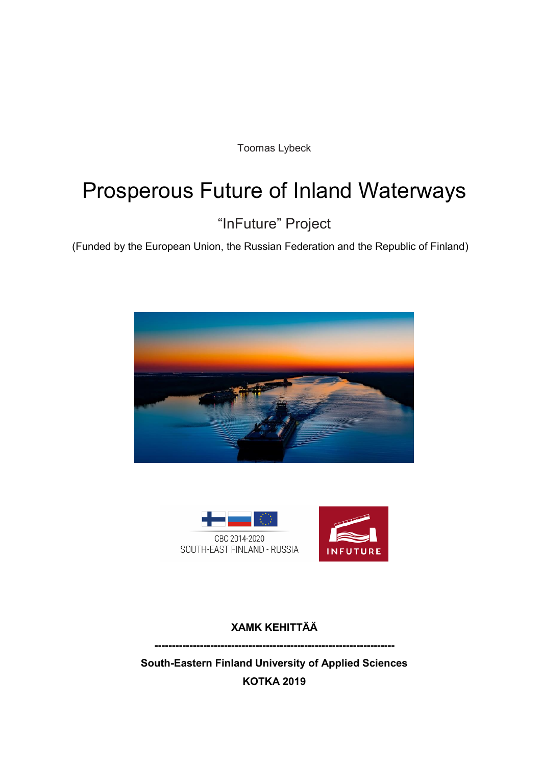Toomas Lybeck

# Prosperous Future of Inland Waterways

"InFuture" Project

(Funded by the European Union, the Russian Federation and the Republic of Finland)





**XAMK KEHITTÄÄ** 

**---------------------------------------------------------------------**

**South-Eastern Finland University of Applied Sciences KOTKA 2019**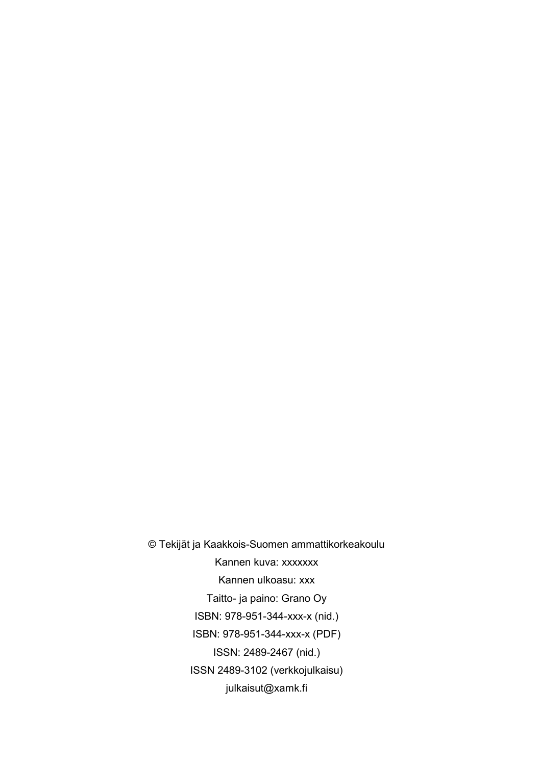© Tekijät ja Kaakkois-Suomen ammattikorkeakoulu Kannen kuva: xxxxxxx Kannen ulkoasu: xxx Taitto- ja paino: Grano Oy ISBN: 978-951-344-xxx-x (nid.) ISBN: 978-951-344-xxx-x (PDF) ISSN: 2489-2467 (nid.) ISSN 2489-3102 (verkkojulkaisu) julkaisut@xamk.fi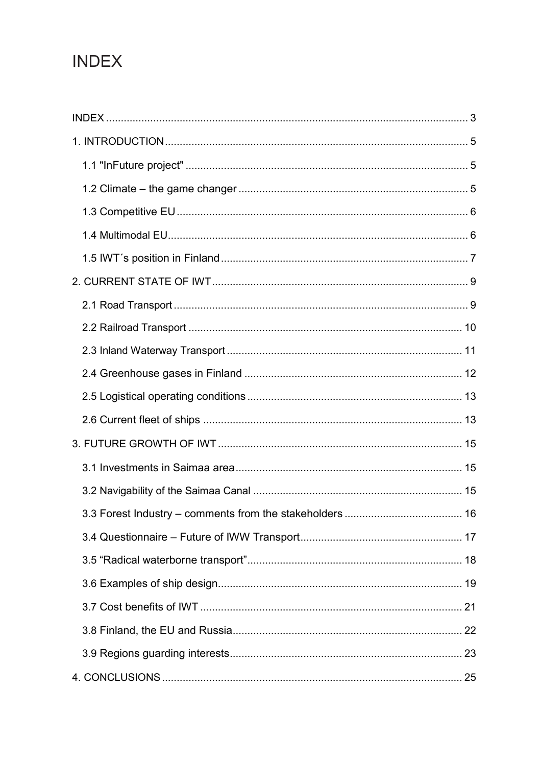## **INDEX**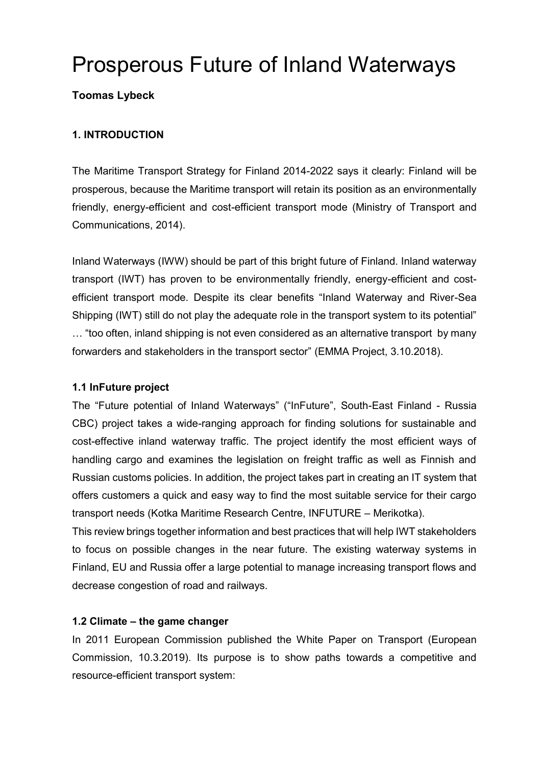## Prosperous Future of Inland Waterways

## **Toomas Lybeck**

## **1. INTRODUCTION**

The Maritime Transport Strategy for Finland 2014-2022 says it clearly: Finland will be prosperous, because the Maritime transport will retain its position as an environmentally friendly, energy-efficient and cost-efficient transport mode (Ministry of Transport and Communications, 2014).

Inland Waterways (IWW) should be part of this bright future of Finland. Inland waterway transport (IWT) has proven to be environmentally friendly, energy-efficient and costefficient transport mode. Despite its clear benefits "Inland Waterway and River-Sea Shipping (IWT) still do not play the adequate role in the transport system to its potential" … "too often, inland shipping is not even considered as an alternative transport by many forwarders and stakeholders in the transport sector" (EMMA Project, 3.10.2018).

## **1.1 InFuture project**

The "Future potential of Inland Waterways" ("InFuture", South-East Finland - Russia CBC) project takes a wide-ranging approach for finding solutions for sustainable and cost-effective inland waterway traffic. The project identify the most efficient ways of handling cargo and examines the legislation on freight traffic as well as Finnish and Russian customs policies. In addition, the project takes part in creating an IT system that offers customers a quick and easy way to find the most suitable service for their cargo transport needs (Kotka Maritime Research Centre, INFUTURE – Merikotka).

This review brings together information and best practices that will help IWT stakeholders to focus on possible changes in the near future. The existing waterway systems in Finland, EU and Russia offer a large potential to manage increasing transport flows and decrease congestion of road and railways.

## **1.2 Climate – the game changer**

In 2011 European Commission published the White Paper on Transport (European Commission, 10.3.2019). Its purpose is to show paths towards a competitive and resource-efficient transport system: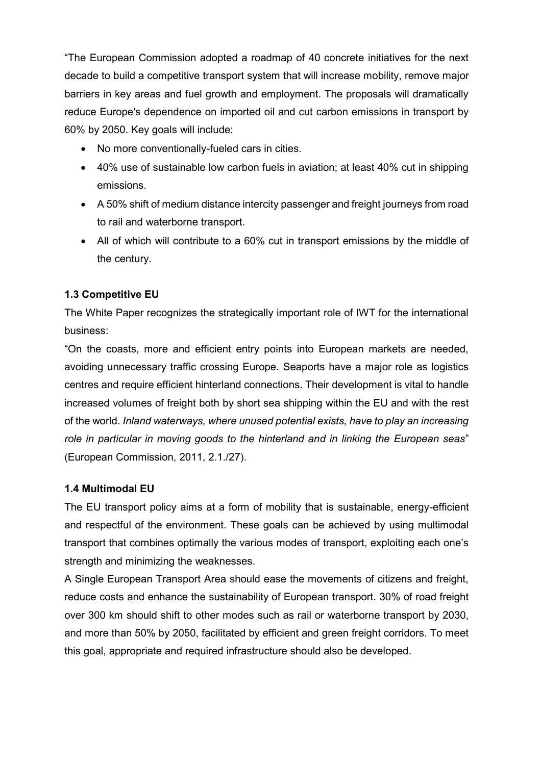"The European Commission adopted a roadmap of 40 concrete initiatives for the next decade to build a competitive transport system that will increase mobility, remove major barriers in key areas and fuel growth and employment. The proposals will dramatically reduce Europe's dependence on imported oil and cut carbon emissions in transport by 60% by 2050. Key goals will include:

- No more conventionally-fueled cars in cities.
- 40% use of sustainable low carbon fuels in aviation; at least 40% cut in shipping emissions.
- A 50% shift of medium distance intercity passenger and freight journeys from road to rail and waterborne transport.
- All of which will contribute to a 60% cut in transport emissions by the middle of the century.

## **1.3 Competitive EU**

The White Paper recognizes the strategically important role of IWT for the international business:

"On the coasts, more and efficient entry points into European markets are needed, avoiding unnecessary traffic crossing Europe. Seaports have a major role as logistics centres and require efficient hinterland connections. Their development is vital to handle increased volumes of freight both by short sea shipping within the EU and with the rest of the world. *Inland waterways, where unused potential exists, have to play an increasing role in particular in moving goods to the hinterland and in linking the European seas*" (European Commission, 2011, 2.1./27).

## **1.4 Multimodal EU**

The EU transport policy aims at a form of mobility that is sustainable, energy-efficient and respectful of the environment. These goals can be achieved by using multimodal transport that combines optimally the various modes of transport, exploiting each one's strength and minimizing the weaknesses.

A Single European Transport Area should ease the movements of citizens and freight, reduce costs and enhance the sustainability of European transport. 30% of road freight over 300 km should shift to other modes such as rail or waterborne transport by 2030, and more than 50% by 2050, facilitated by efficient and green freight corridors. To meet this goal, appropriate and required infrastructure should also be developed.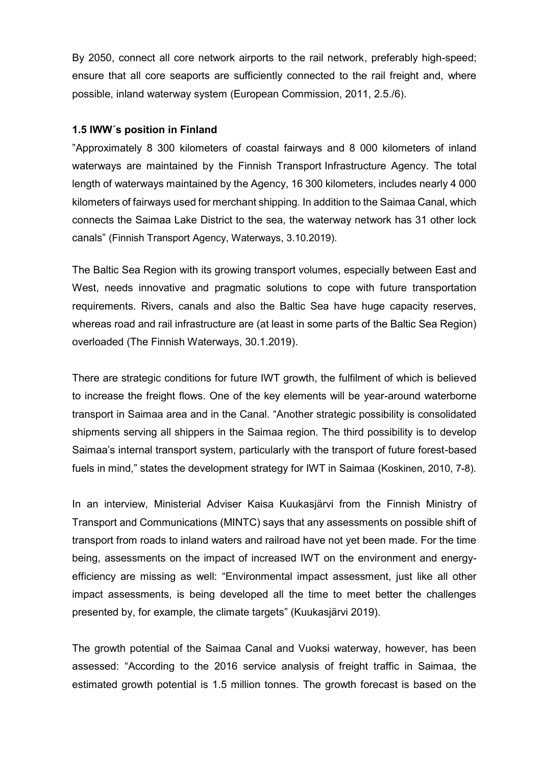By 2050, connect all core network airports to the rail network, preferably high-speed; ensure that all core seaports are sufficiently connected to the rail freight and, where possible, inland waterway system (European Commission, 2011, 2.5./6).

#### **1.5 IWW´s position in Finland**

"Approximately 8 300 kilometers of coastal fairways and 8 000 kilometers of inland waterways are maintained by the Finnish Transport Infrastructure Agency. The total length of waterways maintained by the Agency, 16 300 kilometers, includes nearly 4 000 kilometers of fairways used for merchant shipping. In addition to the Saimaa Canal, which connects the Saimaa Lake District to the sea, the waterway network has 31 other lock canals" (Finnish Transport Agency, Waterways, 3.10.2019).

The Baltic Sea Region with its growing transport volumes, especially between East and West, needs innovative and pragmatic solutions to cope with future transportation requirements. Rivers, canals and also the Baltic Sea have huge capacity reserves, whereas road and rail infrastructure are (at least in some parts of the Baltic Sea Region) overloaded (The Finnish Waterways, 30.1.2019).

There are strategic conditions for future IWT growth, the fulfilment of which is believed to increase the freight flows. One of the key elements will be year-around waterborne transport in Saimaa area and in the Canal. "Another strategic possibility is consolidated shipments serving all shippers in the Saimaa region. The third possibility is to develop Saimaa's internal transport system, particularly with the transport of future forest-based fuels in mind," states the development strategy for IWT in Saimaa (Koskinen, 2010, 7-8).

In an interview, Ministerial Adviser Kaisa Kuukasjärvi from the Finnish Ministry of Transport and Communications (MINTC) says that any assessments on possible shift of transport from roads to inland waters and railroad have not yet been made. For the time being, assessments on the impact of increased IWT on the environment and energyefficiency are missing as well: "Environmental impact assessment, just like all other impact assessments, is being developed all the time to meet better the challenges presented by, for example, the climate targets" (Kuukasjärvi 2019).

The growth potential of the Saimaa Canal and Vuoksi waterway, however, has been assessed: "According to the 2016 service analysis of freight traffic in Saimaa, the estimated growth potential is 1.5 million tonnes. The growth forecast is based on the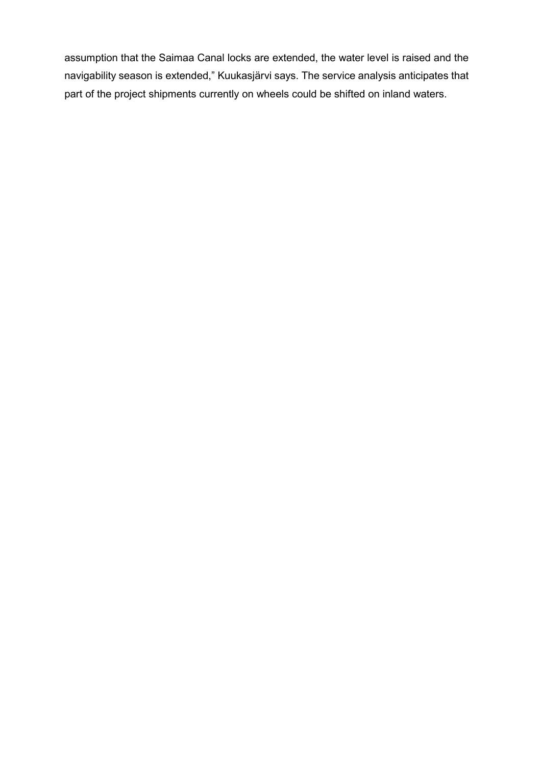assumption that the Saimaa Canal locks are extended, the water level is raised and the navigability season is extended," Kuukasjärvi says. The service analysis anticipates that part of the project shipments currently on wheels could be shifted on inland waters.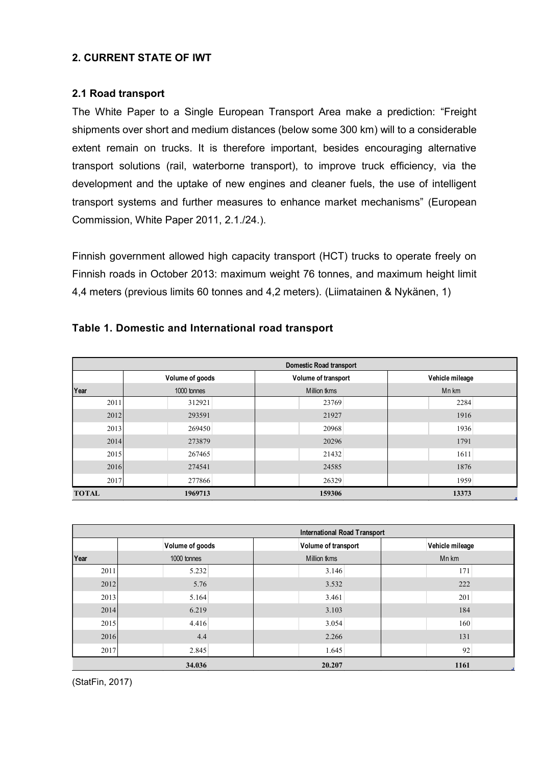## **2. CURRENT STATE OF IWT**

#### **2.1 Road transport**

The White Paper to a Single European Transport Area make a prediction: "Freight shipments over short and medium distances (below some 300 km) will to a considerable extent remain on trucks. It is therefore important, besides encouraging alternative transport solutions (rail, waterborne transport), to improve truck efficiency, via the development and the uptake of new engines and cleaner fuels, the use of intelligent transport systems and further measures to enhance market mechanisms" (European Commission, White Paper 2011, 2.1./24.).

Finnish government allowed high capacity transport (HCT) trucks to operate freely on Finnish roads in October 2013: maximum weight 76 tonnes, and maximum height limit 4,4 meters (previous limits 60 tonnes and 4,2 meters). (Liimatainen & Nykänen, 1)

|              | <b>Domestic Road transport</b> |                     |                 |  |  |  |  |  |  |  |  |
|--------------|--------------------------------|---------------------|-----------------|--|--|--|--|--|--|--|--|
|              | Volume of goods                | Volume of transport | Vehicle mileage |  |  |  |  |  |  |  |  |
| Year         | 1000 tonnes                    | Million tkms        | Mn km           |  |  |  |  |  |  |  |  |
| 2011         | 312921                         | 23769               | 2284            |  |  |  |  |  |  |  |  |
| 2012         | 293591                         | 21927               | 1916            |  |  |  |  |  |  |  |  |
| 2013         | 269450                         | 20968               | 1936            |  |  |  |  |  |  |  |  |
| 2014         | 273879                         | 20296               | 1791            |  |  |  |  |  |  |  |  |
| 2015         | 267465                         | 21432               | 1611            |  |  |  |  |  |  |  |  |
| 2016         | 274541                         | 24585               | 1876            |  |  |  |  |  |  |  |  |
| 2017         | 277866                         | 26329               | 1959            |  |  |  |  |  |  |  |  |
| <b>TOTAL</b> | 1969713                        | 159306              | 13373           |  |  |  |  |  |  |  |  |

#### **Table 1. Domestic and International road transport**

|      | <b>International Road Transport</b> |  |                     |                 |  |  |  |  |  |  |  |
|------|-------------------------------------|--|---------------------|-----------------|--|--|--|--|--|--|--|
|      | Volume of goods                     |  | Volume of transport | Vehicle mileage |  |  |  |  |  |  |  |
| Year | 1000 tonnes                         |  | Million tkms        | Mn km           |  |  |  |  |  |  |  |
| 2011 | 5.232                               |  | 3.146               | 171             |  |  |  |  |  |  |  |
| 2012 | 5.76                                |  | 3.532               | 222             |  |  |  |  |  |  |  |
| 2013 | 5.164                               |  | 3.461               | 201             |  |  |  |  |  |  |  |
| 2014 | 6.219                               |  | 3.103               | 184             |  |  |  |  |  |  |  |
| 2015 | 4.416                               |  | 3.054               | 160             |  |  |  |  |  |  |  |
| 2016 | 4.4                                 |  | 2.266               | 131             |  |  |  |  |  |  |  |
| 2017 | 2.845                               |  | 1.645               | 92              |  |  |  |  |  |  |  |
|      | 34.036                              |  | 20.207              | 1161            |  |  |  |  |  |  |  |

(StatFin, 2017)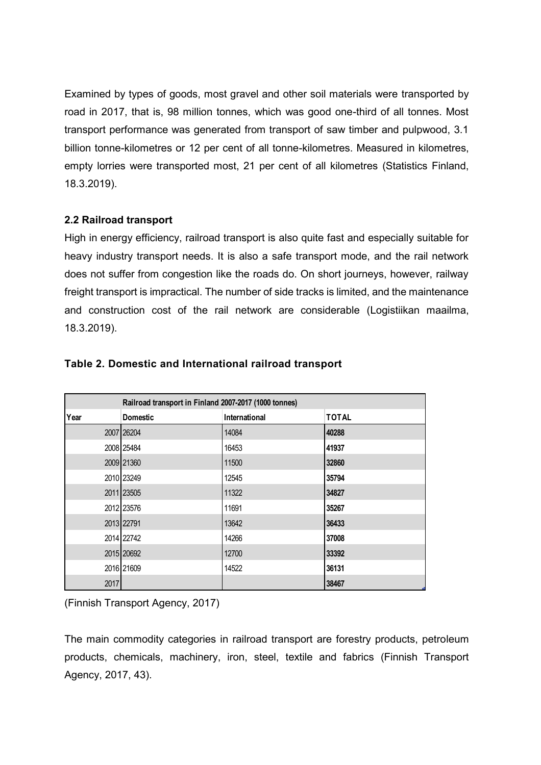Examined by types of goods, most gravel and other soil materials were transported by road in 2017, that is, 98 million tonnes, which was good one-third of all tonnes. Most transport performance was generated from transport of saw timber and pulpwood, 3.1 billion tonne-kilometres or 12 per cent of all tonne-kilometres. Measured in kilometres, empty lorries were transported most, 21 per cent of all kilometres (Statistics Finland, 18.3.2019).

## **2.2 Railroad transport**

High in energy efficiency, railroad transport is also quite fast and especially suitable for heavy industry transport needs. It is also a safe transport mode, and the rail network does not suffer from congestion like the roads do. On short journeys, however, railway freight transport is impractical. The number of side tracks is limited, and the maintenance and construction cost of the rail network are considerable (Logistiikan maailma, 18.3.2019).

|      | Railroad transport in Finland 2007-2017 (1000 tonnes) |               |              |  |  |  |  |  |  |  |
|------|-------------------------------------------------------|---------------|--------------|--|--|--|--|--|--|--|
| Year | <b>Domestic</b>                                       | International | <b>TOTAL</b> |  |  |  |  |  |  |  |
|      | 2007 26204                                            | 14084         | 40288        |  |  |  |  |  |  |  |
|      | 2008 25484                                            | 16453         | 41937        |  |  |  |  |  |  |  |
|      | 2009 21360                                            | 11500         | 32860        |  |  |  |  |  |  |  |
|      | 2010 23249                                            | 12545         | 35794        |  |  |  |  |  |  |  |
|      | 2011 23505                                            | 11322         | 34827        |  |  |  |  |  |  |  |
|      | 2012 23576                                            | 11691         | 35267        |  |  |  |  |  |  |  |
|      | 2013 22791                                            | 13642         | 36433        |  |  |  |  |  |  |  |
|      | 2014 22742                                            | 14266         | 37008        |  |  |  |  |  |  |  |
|      | 2015 20692                                            | 12700         | 33392        |  |  |  |  |  |  |  |
|      | 2016 21609                                            | 14522         | 36131        |  |  |  |  |  |  |  |
| 2017 |                                                       |               | 38467        |  |  |  |  |  |  |  |

#### **Table 2. Domestic and International railroad transport**

(Finnish Transport Agency, 2017)

The main commodity categories in railroad transport are forestry products, petroleum products, chemicals, machinery, iron, steel, textile and fabrics (Finnish Transport Agency, 2017, 43).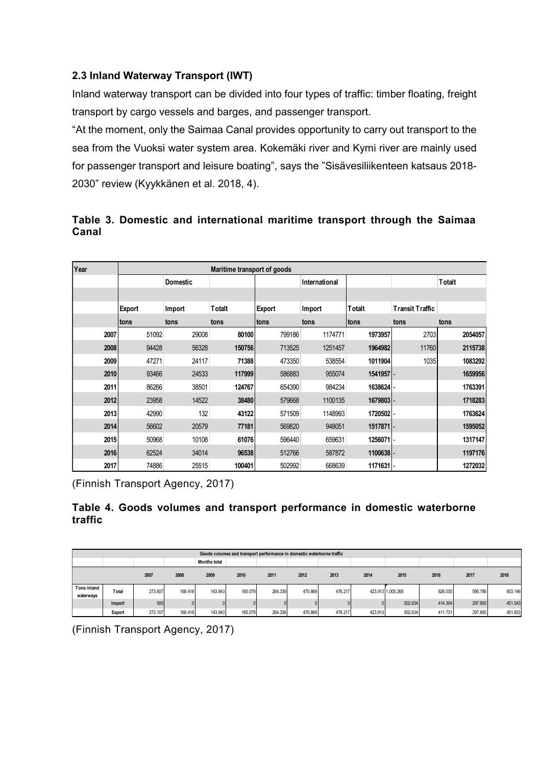## **2.3 Inland Waterway Transport (IWT)**

Inland waterway transport can be divided into four types of traffic: timber floating, freight transport by cargo vessels and barges, and passenger transport.

"At the moment, only the Saimaa Canal provides opportunity to carry out transport to the sea from the Vuoksi water system area. Kokemäki river and Kymi river are mainly used for passenger transport and leisure boating", says the "Sisävesiliikenteen katsaus 2018- 2030" review (Kyykkänen et al. 2018, 4).

## **Table 3. Domestic and international maritime transport through the Saimaa Canal**

| Year |             | Maritime transport of goods |                |        |               |             |                        |                |  |
|------|-------------|-----------------------------|----------------|--------|---------------|-------------|------------------------|----------------|--|
|      |             | Domestic                    |                |        | International |             |                        | <b>T</b> otalt |  |
|      |             |                             |                |        |               |             |                        |                |  |
|      | Export      | Import                      | <b>T</b> otalt | Export | Import        | Totalt      | <b>Transit Traffic</b> |                |  |
|      | <b>tons</b> | tons                        | tons           | tons   | tons          | <b>tons</b> | tons                   | tons           |  |
| 2007 | 51092       | 29008                       | 80100          | 799186 | 1174771       | 1973957     | 2703                   | 2054057        |  |
| 2008 | 94428       | 56328                       | 150756         | 713525 | 1251457       | 1964982     | 11760                  | 2115738        |  |
| 2009 | 47271       | 24117                       | 71388          | 473350 | 538554        | 1011904     | 1035                   | 1083292        |  |
| 2010 | 93466       | 24533                       | 117999         | 586883 | 955074        | 1541957 -   |                        | 1659956        |  |
| 2011 | 86266       | 38501                       | 124767         | 654390 | 984234        | 1638624 -   |                        | 1763391        |  |
| 2012 | 23958       | 14522                       | 38480          | 579668 | 1100135       | 1679803 -   |                        | 1718283        |  |
| 2013 | 42990       | 132                         | 43122          | 571509 | 1148993       | 1720502 -   |                        | 1763624        |  |
| 2014 | 56602       | 20579                       | 77181          | 569820 | 948051        | 1517871 -   |                        | 1595052        |  |
| 2015 | 50968       | 10108                       | 61076          | 596440 | 659631        | 1256071 -   |                        | 1317147        |  |
| 2016 | 62524       | 34014                       | 96538          | 512766 | 587872        | 11006381-   |                        | 1197176        |  |
| 2017 | 74886       | 25515                       | 100401         | 502992 | 668639        | 1171631 -   |                        | 1272032        |  |

(Finnish Transport Agency, 2017)

## **Table 4. Goods volumes and transport performance in domestic waterborne traffic**

|                          | Goods volumes and transport performance in domestic waterborne traffic |         |          |         |         |         |         |         |         |                   |         |         |         |
|--------------------------|------------------------------------------------------------------------|---------|----------|---------|---------|---------|---------|---------|---------|-------------------|---------|---------|---------|
| <b>Months total</b>      |                                                                        |         |          |         |         |         |         |         |         |                   |         |         |         |
|                          |                                                                        | 2007    | 2008     | 2009    | 2010    | 2011    | 2012    | 2013    | 2014    | 2015              | 2016    | 2017    | 2018    |
| Tons inland<br>waterways | Total                                                                  | 273,607 | 168.418  | 143.843 | 165.079 | 264.336 | 470.869 | 476.217 |         | 423.913 1,005,268 | 826.035 | 595.786 | 903.146 |
|                          | Import                                                                 | 500     | $\Omega$ |         |         |         |         |         |         | 502.634           | 414.304 | 297.893 | 451.543 |
|                          | Export                                                                 | 273.107 | 168.418  | 143.843 | 165.079 | 264.336 | 470.869 | 476.217 | 423.913 | 502.634           | 411.731 | 297.893 | 451.603 |

(Finnish Transport Agency, 2017)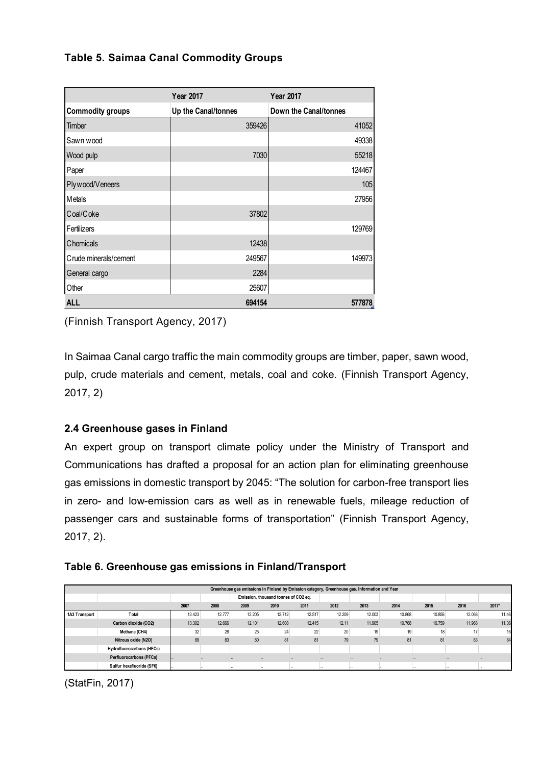## **Table 5. Saimaa Canal Commodity Groups**

|                         | <b>Year 2017</b>    | <b>Year 2017</b>      |
|-------------------------|---------------------|-----------------------|
| <b>Commodity groups</b> | Up the Canal/tonnes | Down the Canal/tonnes |
| Timber                  | 359426              | 41052                 |
| Sawn wood               |                     | 49338                 |
| Wood pulp               | 7030                | 55218                 |
| Paper                   |                     | 124467                |
| Plywood/Veneers         |                     | 105                   |
| Metals                  |                     | 27956                 |
| Coal/Coke               | 37802               |                       |
| Fertilizers             |                     | 129769                |
| <b>Chemicals</b>        | 12438               |                       |
| Crude minerals/cement   | 249567              | 149973                |
| General cargo           | 2284                |                       |
| Other                   | 25607               |                       |
| <b>ALL</b>              | 694154              | 577878                |

(Finnish Transport Agency, 2017)

In Saimaa Canal cargo traffic the main commodity groups are timber, paper, sawn wood, pulp, crude materials and cement, metals, coal and coke. (Finnish Transport Agency, 2017, 2)

## **2.4 Greenhouse gases in Finland**

An expert group on transport climate policy under the Ministry of Transport and Communications has drafted a proposal for an action plan for eliminating greenhouse gas emissions in domestic transport by 2045: "The solution for carbon-free transport lies in zero- and low-emission cars as well as in renewable fuels, mileage reduction of passenger cars and sustainable forms of transportation" (Finnish Transport Agency, 2017, 2).

## **Table 6. Greenhouse gas emissions in Finland/Transport**

|               | Greenhouse gas emissions in Finland by Emission category, Greenhouse gas, Information and Year |        |        |                                  |                                      |        |          |                      |          |        |          |         |  |
|---------------|------------------------------------------------------------------------------------------------|--------|--------|----------------------------------|--------------------------------------|--------|----------|----------------------|----------|--------|----------|---------|--|
|               |                                                                                                |        |        |                                  | Emission, thousand tonnes of CO2 eq. |        |          |                      |          |        |          |         |  |
|               |                                                                                                | 2007   | 2008   | 2011<br>2009<br>2010             |                                      |        | 2012     | 2013                 | 2014     | 2015   | 2016     | $2017*$ |  |
| 1A3 Transport | Total                                                                                          | 13.423 | 12.777 | 12.205                           | 12.712                               | 12.517 | 12.209   | 12.003               | 10.868   | 10.858 | 12.068   | 11.46   |  |
|               | Carbon dioxide (CO2)                                                                           | 13.302 | 12.666 | 12.101                           | 12.608                               | 12.415 | 12.11    | 11.905               | 10.768   | 10.759 | 11.968   | 11.36   |  |
|               | Methane (CH4)                                                                                  | 32     | 28     | 25                               | 24                                   | 22     | 20       | 19                   | 19       | 18     |          | 16      |  |
|               | Nitrous oxide (N2O)                                                                            | 89     | 83     | 80                               | 81                                   | 81     | 79       | 79                   | 81       | 81     | 83       | 84      |  |
|               | <b>Hydrofluorocarbons (HFCs)</b>                                                               |        |        | <b>A</b> 10                      |                                      |        | $\sim$   |                      |          |        |          |         |  |
|               | <b>Perfluorocarbons (PFCs)</b>                                                                 | $\sim$ |        | $\sim$<br>$\sim$                 | $\cdots$                             |        | $\sim$   | $\sim$               | $\cdots$ | $\sim$ | $\cdots$ | $\sim$  |  |
|               | Sulfur hexafluoride (SF6)                                                                      |        |        | $\cdots$<br>$\ddot{\phantom{0}}$ |                                      |        | $\cdots$ | $\ddot{\phantom{0}}$ |          |        |          |         |  |

(StatFin, 2017)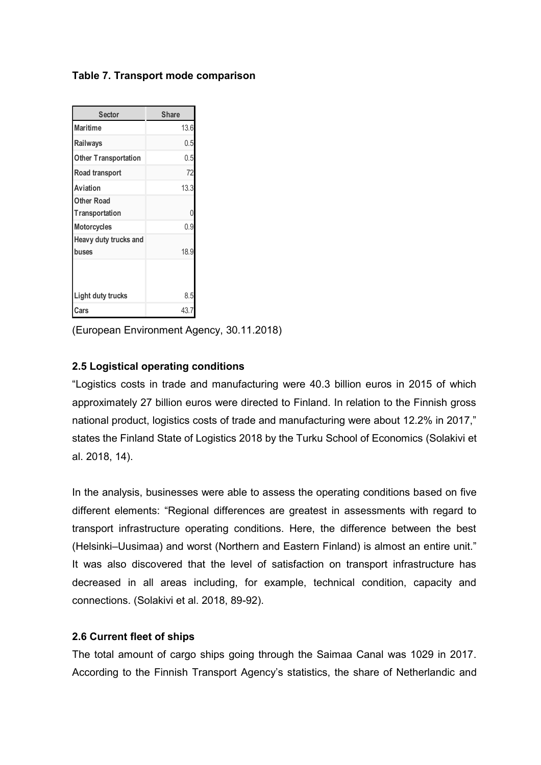## **Table 7. Transport mode comparison**

| <b>Sector</b>                  | <b>Share</b> |
|--------------------------------|--------------|
| <b>Maritime</b>                | 13.6         |
| Railways                       | 0.5          |
| <b>Other Transportation</b>    | 0.5          |
| Road transport                 | 72           |
| Aviation                       | 13.3         |
| <b>Other Road</b>              |              |
| <b>Transportation</b>          |              |
| <b>Motorcycles</b>             | 0.9          |
| Heavy duty trucks and<br>buses | 18.9         |
|                                |              |
| Light duty trucks              | 8.5          |
| Cars                           | 43.7         |

(European Environment Agency, 30.11.2018)

## **2.5 Logistical operating conditions**

"Logistics costs in trade and manufacturing were 40.3 billion euros in 2015 of which approximately 27 billion euros were directed to Finland. In relation to the Finnish gross national product, logistics costs of trade and manufacturing were about 12.2% in 2017," states the Finland State of Logistics 2018 by the Turku School of Economics (Solakivi et al. 2018, 14).

In the analysis, businesses were able to assess the operating conditions based on five different elements: "Regional differences are greatest in assessments with regard to transport infrastructure operating conditions. Here, the difference between the best (Helsinki–Uusimaa) and worst (Northern and Eastern Finland) is almost an entire unit." It was also discovered that the level of satisfaction on transport infrastructure has decreased in all areas including, for example, technical condition, capacity and connections. (Solakivi et al. 2018, 89-92).

## **2.6 Current fleet of ships**

The total amount of cargo ships going through the Saimaa Canal was 1029 in 2017. According to the Finnish Transport Agency's statistics, the share of Netherlandic and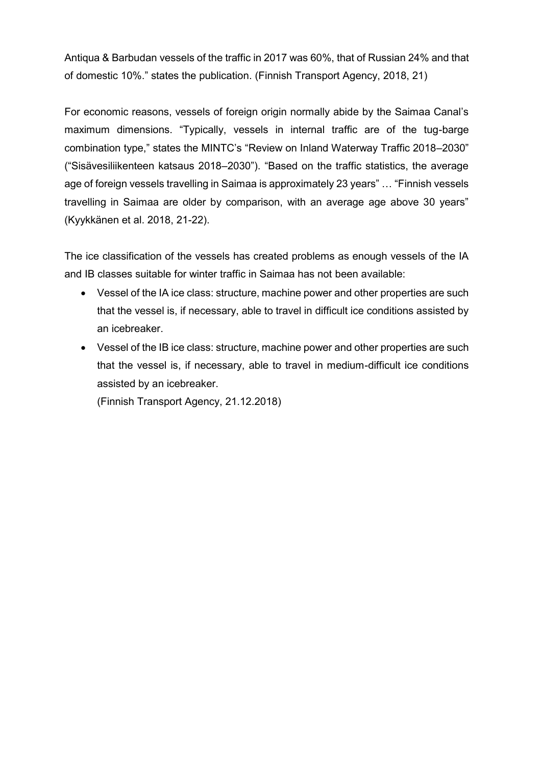Antiqua & Barbudan vessels of the traffic in 2017 was 60%, that of Russian 24% and that of domestic 10%." states the publication. (Finnish Transport Agency, 2018, 21)

For economic reasons, vessels of foreign origin normally abide by the Saimaa Canal's maximum dimensions. "Typically, vessels in internal traffic are of the tug-barge combination type," states the MINTC's "Review on Inland Waterway Traffic 2018–2030" ("Sisävesiliikenteen katsaus 2018–2030"). "Based on the traffic statistics, the average age of foreign vessels travelling in Saimaa is approximately 23 years" … "Finnish vessels travelling in Saimaa are older by comparison, with an average age above 30 years" (Kyykkänen et al. 2018, 21-22).

The ice classification of the vessels has created problems as enough vessels of the IA and IB classes suitable for winter traffic in Saimaa has not been available:

- Vessel of the IA ice class: structure, machine power and other properties are such that the vessel is, if necessary, able to travel in difficult ice conditions assisted by an icebreaker.
- Vessel of the IB ice class: structure, machine power and other properties are such that the vessel is, if necessary, able to travel in medium-difficult ice conditions assisted by an icebreaker.

(Finnish Transport Agency, 21.12.2018)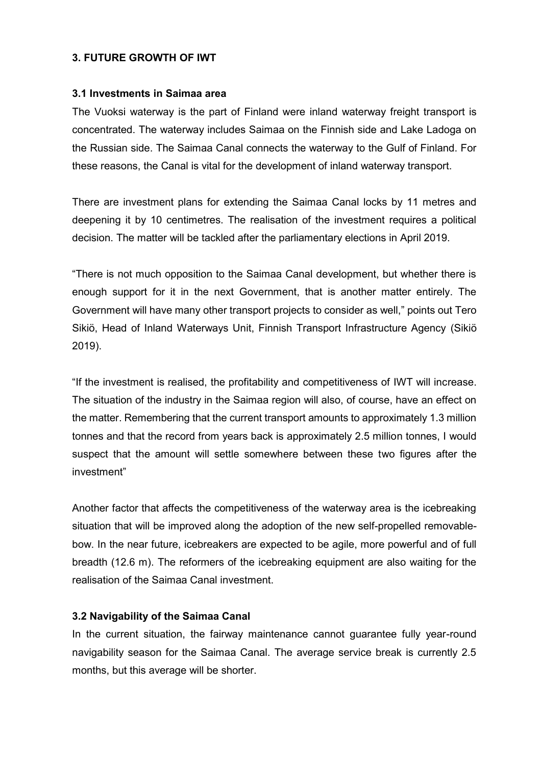#### **3. FUTURE GROWTH OF IWT**

#### **3.1 Investments in Saimaa area**

The Vuoksi waterway is the part of Finland were inland waterway freight transport is concentrated. The waterway includes Saimaa on the Finnish side and Lake Ladoga on the Russian side. The Saimaa Canal connects the waterway to the Gulf of Finland. For these reasons, the Canal is vital for the development of inland waterway transport.

There are investment plans for extending the Saimaa Canal locks by 11 metres and deepening it by 10 centimetres. The realisation of the investment requires a political decision. The matter will be tackled after the parliamentary elections in April 2019.

"There is not much opposition to the Saimaa Canal development, but whether there is enough support for it in the next Government, that is another matter entirely. The Government will have many other transport projects to consider as well," points out Tero Sikiö, Head of Inland Waterways Unit, Finnish Transport Infrastructure Agency (Sikiö 2019).

"If the investment is realised, the profitability and competitiveness of IWT will increase. The situation of the industry in the Saimaa region will also, of course, have an effect on the matter. Remembering that the current transport amounts to approximately 1.3 million tonnes and that the record from years back is approximately 2.5 million tonnes, I would suspect that the amount will settle somewhere between these two figures after the investment"

Another factor that affects the competitiveness of the waterway area is the icebreaking situation that will be improved along the adoption of the new self-propelled removablebow. In the near future, icebreakers are expected to be agile, more powerful and of full breadth (12.6 m). The reformers of the icebreaking equipment are also waiting for the realisation of the Saimaa Canal investment.

## **3.2 Navigability of the Saimaa Canal**

In the current situation, the fairway maintenance cannot guarantee fully year-round navigability season for the Saimaa Canal. The average service break is currently 2.5 months, but this average will be shorter.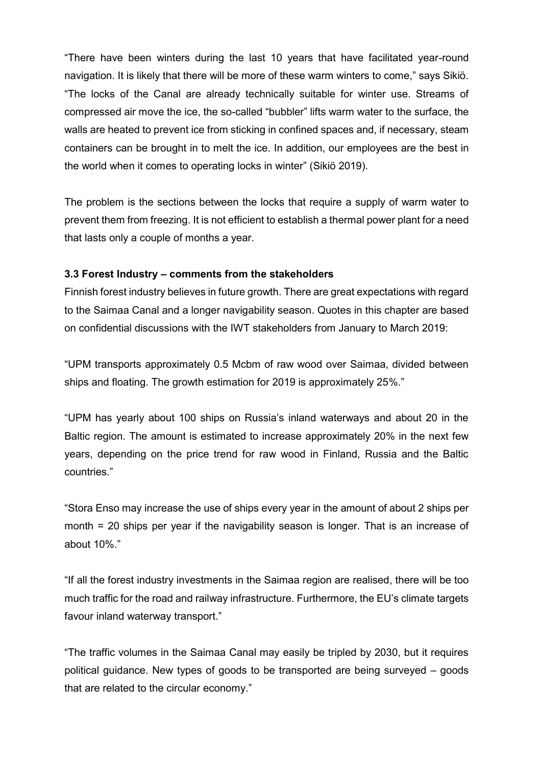"There have been winters during the last 10 years that have facilitated year-round navigation. It is likely that there will be more of these warm winters to come," says Sikiö. "The locks of the Canal are already technically suitable for winter use. Streams of compressed air move the ice, the so-called "bubbler" lifts warm water to the surface, the walls are heated to prevent ice from sticking in confined spaces and, if necessary, steam containers can be brought in to melt the ice. In addition, our employees are the best in the world when it comes to operating locks in winter" (Sikiö 2019).

The problem is the sections between the locks that require a supply of warm water to prevent them from freezing. It is not efficient to establish a thermal power plant for a need that lasts only a couple of months a year.

#### **3.3 Forest Industry – comments from the stakeholders**

Finnish forest industry believes in future growth. There are great expectations with regard to the Saimaa Canal and a longer navigability season. Quotes in this chapter are based on confidential discussions with the IWT stakeholders from January to March 2019:

"UPM transports approximately 0.5 Mcbm of raw wood over Saimaa, divided between ships and floating. The growth estimation for 2019 is approximately 25%."

"UPM has yearly about 100 ships on Russia's inland waterways and about 20 in the Baltic region. The amount is estimated to increase approximately 20% in the next few years, depending on the price trend for raw wood in Finland, Russia and the Baltic countries."

"Stora Enso may increase the use of ships every year in the amount of about 2 ships per month = 20 ships per year if the navigability season is longer. That is an increase of about 10%."

"If all the forest industry investments in the Saimaa region are realised, there will be too much traffic for the road and railway infrastructure. Furthermore, the EU's climate targets favour inland waterway transport."

"The traffic volumes in the Saimaa Canal may easily be tripled by 2030, but it requires political guidance. New types of goods to be transported are being surveyed – goods that are related to the circular economy."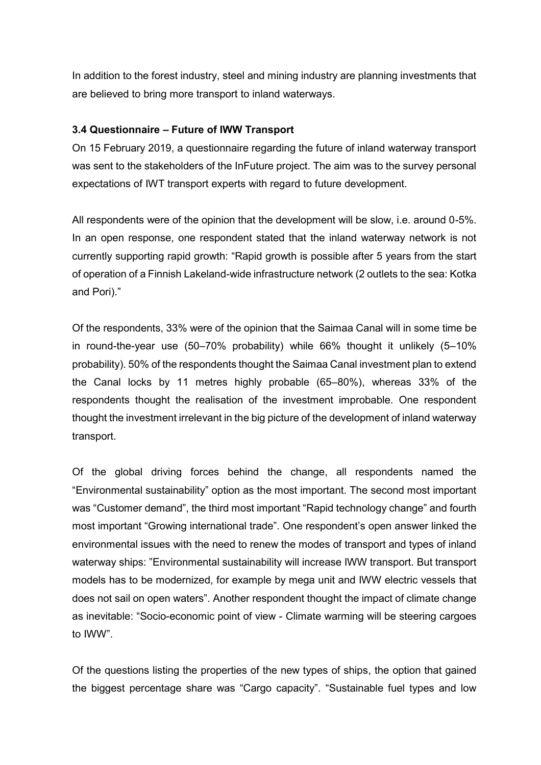In addition to the forest industry, steel and mining industry are planning investments that are believed to bring more transport to inland waterways.

## **3.4 Questionnaire – Future of IWW Transport**

On 15 February 2019, a questionnaire regarding the future of inland waterway transport was sent to the stakeholders of the InFuture project. The aim was to the survey personal expectations of IWT transport experts with regard to future development.

All respondents were of the opinion that the development will be slow, i.e. around 0-5%. In an open response, one respondent stated that the inland waterway network is not currently supporting rapid growth: "Rapid growth is possible after 5 years from the start of operation of a Finnish Lakeland-wide infrastructure network (2 outlets to the sea: Kotka and Pori)."

Of the respondents, 33% were of the opinion that the Saimaa Canal will in some time be in round-the-year use (50–70% probability) while 66% thought it unlikely (5–10% probability). 50% of the respondents thought the Saimaa Canal investment plan to extend the Canal locks by 11 metres highly probable (65–80%), whereas 33% of the respondents thought the realisation of the investment improbable. One respondent thought the investment irrelevant in the big picture of the development of inland waterway transport.

Of the global driving forces behind the change, all respondents named the "Environmental sustainability" option as the most important. The second most important was "Customer demand", the third most important "Rapid technology change" and fourth most important "Growing international trade". One respondent's open answer linked the environmental issues with the need to renew the modes of transport and types of inland waterway ships: "Environmental sustainability will increase IWW transport. But transport models has to be modernized, for example by mega unit and IWW electric vessels that does not sail on open waters". Another respondent thought the impact of climate change as inevitable: "Socio-economic point of view - Climate warming will be steering cargoes to IWW".

Of the questions listing the properties of the new types of ships, the option that gained the biggest percentage share was "Cargo capacity". "Sustainable fuel types and low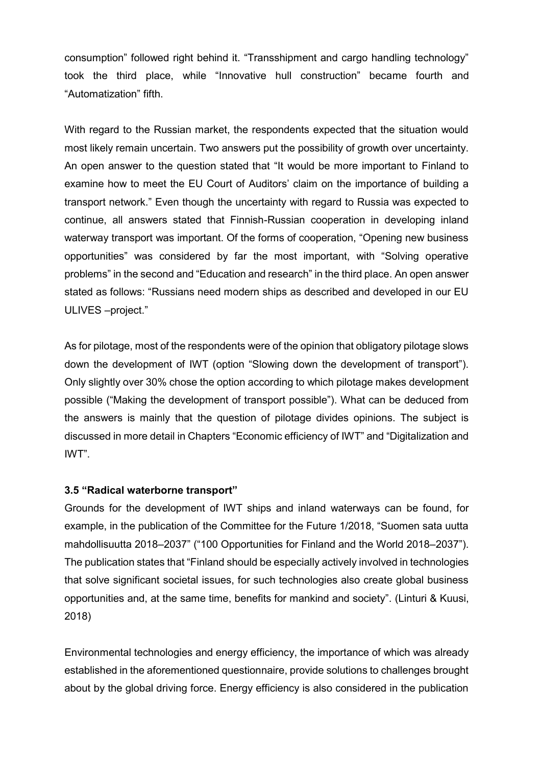consumption" followed right behind it. "Transshipment and cargo handling technology" took the third place, while "Innovative hull construction" became fourth and "Automatization" fifth.

With regard to the Russian market, the respondents expected that the situation would most likely remain uncertain. Two answers put the possibility of growth over uncertainty. An open answer to the question stated that "It would be more important to Finland to examine how to meet the EU Court of Auditors' claim on the importance of building a transport network." Even though the uncertainty with regard to Russia was expected to continue, all answers stated that Finnish-Russian cooperation in developing inland waterway transport was important. Of the forms of cooperation, "Opening new business opportunities" was considered by far the most important, with "Solving operative problems" in the second and "Education and research" in the third place. An open answer stated as follows: "Russians need modern ships as described and developed in our EU ULIVES –project."

As for pilotage, most of the respondents were of the opinion that obligatory pilotage slows down the development of IWT (option "Slowing down the development of transport"). Only slightly over 30% chose the option according to which pilotage makes development possible ("Making the development of transport possible"). What can be deduced from the answers is mainly that the question of pilotage divides opinions. The subject is discussed in more detail in Chapters "Economic efficiency of IWT" and "Digitalization and IWT".

#### **3.5 "Radical waterborne transport"**

Grounds for the development of IWT ships and inland waterways can be found, for example, in the publication of the Committee for the Future 1/2018, "Suomen sata uutta mahdollisuutta 2018–2037" ("100 Opportunities for Finland and the World 2018–2037"). The publication states that "Finland should be especially actively involved in technologies that solve significant societal issues, for such technologies also create global business opportunities and, at the same time, benefits for mankind and society". (Linturi & Kuusi, 2018)

Environmental technologies and energy efficiency, the importance of which was already established in the aforementioned questionnaire, provide solutions to challenges brought about by the global driving force. Energy efficiency is also considered in the publication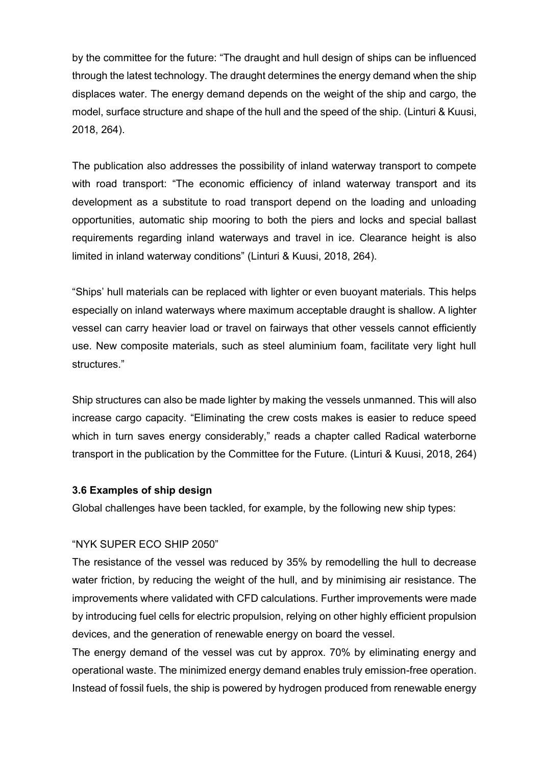by the committee for the future: "The draught and hull design of ships can be influenced through the latest technology. The draught determines the energy demand when the ship displaces water. The energy demand depends on the weight of the ship and cargo, the model, surface structure and shape of the hull and the speed of the ship. (Linturi & Kuusi, 2018, 264).

The publication also addresses the possibility of inland waterway transport to compete with road transport: "The economic efficiency of inland waterway transport and its development as a substitute to road transport depend on the loading and unloading opportunities, automatic ship mooring to both the piers and locks and special ballast requirements regarding inland waterways and travel in ice. Clearance height is also limited in inland waterway conditions" (Linturi & Kuusi, 2018, 264).

"Ships' hull materials can be replaced with lighter or even buoyant materials. This helps especially on inland waterways where maximum acceptable draught is shallow. A lighter vessel can carry heavier load or travel on fairways that other vessels cannot efficiently use. New composite materials, such as steel aluminium foam, facilitate very light hull structures."

Ship structures can also be made lighter by making the vessels unmanned. This will also increase cargo capacity. "Eliminating the crew costs makes is easier to reduce speed which in turn saves energy considerably," reads a chapter called Radical waterborne transport in the publication by the Committee for the Future. (Linturi & Kuusi, 2018, 264)

#### **3.6 Examples of ship design**

Global challenges have been tackled, for example, by the following new ship types:

## "NYK SUPER ECO SHIP 2050"

The resistance of the vessel was reduced by 35% by remodelling the hull to decrease water friction, by reducing the weight of the hull, and by minimising air resistance. The improvements where validated with CFD calculations. Further improvements were made by introducing fuel cells for electric propulsion, relying on other highly efficient propulsion devices, and the generation of renewable energy on board the vessel.

The energy demand of the vessel was cut by approx. 70% by eliminating energy and operational waste. The minimized energy demand enables truly emission-free operation. Instead of fossil fuels, the ship is powered by hydrogen produced from renewable energy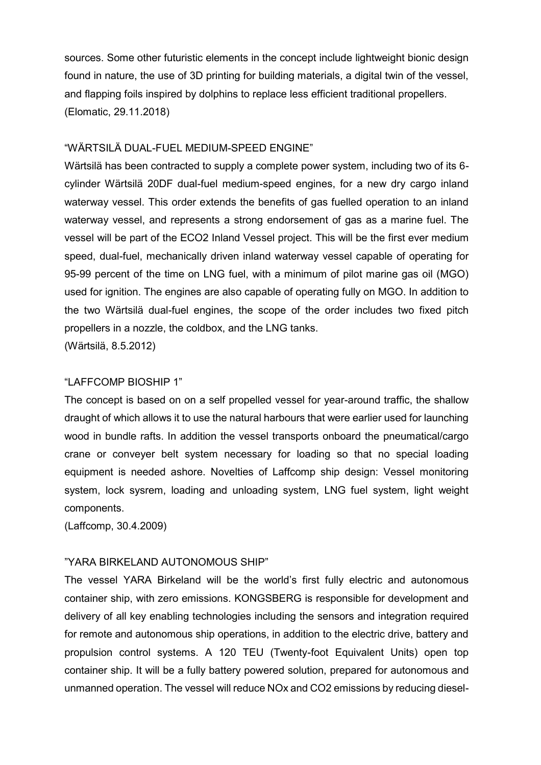sources. Some other futuristic elements in the concept include lightweight bionic design found in nature, the use of 3D printing for building materials, a digital twin of the vessel, and flapping foils inspired by dolphins to replace less efficient traditional propellers. (Elomatic, 29.11.2018)

#### "WÄRTSILÄ DUAL-FUEL MEDIUM-SPEED ENGINE"

Wärtsilä has been contracted to supply a complete power system, including two of its 6 cylinder Wärtsilä 20DF dual-fuel medium-speed engines, for a new dry cargo inland waterway vessel. This order extends the benefits of gas fuelled operation to an inland waterway vessel, and represents a strong endorsement of gas as a marine fuel. The vessel will be part of the ECO2 Inland Vessel project. This will be the first ever medium speed, dual-fuel, mechanically driven inland waterway vessel capable of operating for 95-99 percent of the time on LNG fuel, with a minimum of pilot marine gas oil (MGO) used for ignition. The engines are also capable of operating fully on MGO. In addition to the two Wärtsilä dual-fuel engines, the scope of the order includes two fixed pitch propellers in a nozzle, the coldbox, and the LNG tanks.

(Wärtsilä, 8.5.2012)

#### "LAFFCOMP BIOSHIP 1"

The concept is based on on a self propelled vessel for year-around traffic, the shallow draught of which allows it to use the natural harbours that were earlier used for launching wood in bundle rafts. In addition the vessel transports onboard the pneumatical/cargo crane or conveyer belt system necessary for loading so that no special loading equipment is needed ashore. Novelties of Laffcomp ship design: Vessel monitoring system, lock sysrem, loading and unloading system, LNG fuel system, light weight components.

(Laffcomp, 30.4.2009)

#### "YARA BIRKELAND AUTONOMOUS SHIP"

The vessel YARA Birkeland will be the world's first fully electric and autonomous container ship, with zero emissions. KONGSBERG is responsible for development and delivery of all key enabling technologies including the sensors and integration required for remote and autonomous ship operations, in addition to the electric drive, battery and propulsion control systems. A 120 TEU (Twenty-foot Equivalent Units) open top container ship. It will be a fully battery powered solution, prepared for autonomous and unmanned operation. The vessel will reduce NOx and CO2 emissions by reducing diesel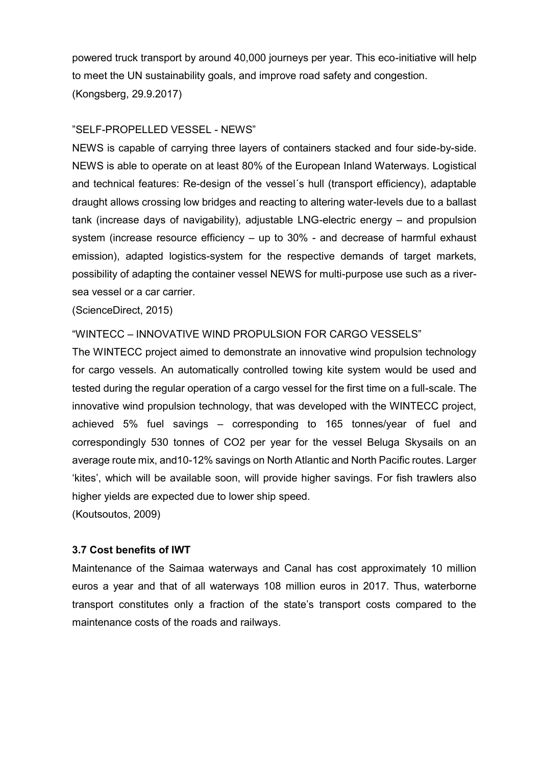powered truck transport by around 40,000 journeys per year. This eco-initiative will help to meet the UN sustainability goals, and improve road safety and congestion. (Kongsberg, 29.9.2017)

## "SELF-PROPELLED VESSEL - NEWS"

NEWS is capable of carrying three layers of containers stacked and four side-by-side. NEWS is able to operate on at least 80% of the European Inland Waterways. Logistical and technical features: Re-design of the vessel´s hull (transport efficiency), adaptable draught allows crossing low bridges and reacting to altering water-levels due to a ballast tank (increase days of navigability), adjustable LNG-electric energy – and propulsion system (increase resource efficiency – up to 30% - and decrease of harmful exhaust emission), adapted logistics-system for the respective demands of target markets, possibility of adapting the container vessel NEWS for multi-purpose use such as a riversea vessel or a car carrier.

(ScienceDirect, 2015)

## "WINTECC – INNOVATIVE WIND PROPULSION FOR CARGO VESSELS"

The WINTECC project aimed to demonstrate an innovative wind propulsion technology for cargo vessels. An automatically controlled towing kite system would be used and tested during the regular operation of a cargo vessel for the first time on a full-scale. The innovative wind propulsion technology, that was developed with the WINTECC project, achieved 5% fuel savings – corresponding to 165 tonnes/year of fuel and correspondingly 530 tonnes of CO2 per year for the vessel Beluga Skysails on an average route mix, and10-12% savings on North Atlantic and North Pacific routes. Larger 'kites', which will be available soon, will provide higher savings. For fish trawlers also higher yields are expected due to lower ship speed.

(Koutsoutos, 2009)

## **3.7 Cost benefits of IWT**

Maintenance of the Saimaa waterways and Canal has cost approximately 10 million euros a year and that of all waterways 108 million euros in 2017. Thus, waterborne transport constitutes only a fraction of the state's transport costs compared to the maintenance costs of the roads and railways.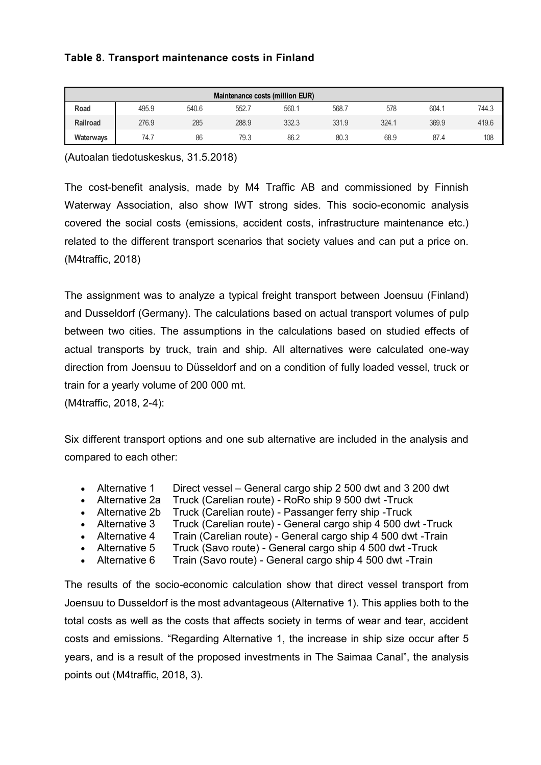## **Table 8. Transport maintenance costs in Finland**

| Maintenance costs (million EUR) |       |       |       |       |       |       |       |       |  |  |  |
|---------------------------------|-------|-------|-------|-------|-------|-------|-------|-------|--|--|--|
| Road                            | 495.9 | 540.6 | 552.7 | 560.7 | 568.7 | 578   | 604.1 | 744.3 |  |  |  |
| Railroad                        | 276.9 | 285   | 288.9 | 332.3 | 331.9 | 324.7 | 369.9 | 419.6 |  |  |  |
| Waterways                       | 74.7  | 86    | 79.3  | 86.2  | 80.3  | 68.9  | 87.4  | 108   |  |  |  |

(Autoalan tiedotuskeskus, 31.5.2018)

The cost-benefit analysis, made by M4 Traffic AB and commissioned by Finnish Waterway Association, also show IWT strong sides. This socio-economic analysis covered the social costs (emissions, accident costs, infrastructure maintenance etc.) related to the different transport scenarios that society values and can put a price on. (M4traffic, 2018)

The assignment was to analyze a typical freight transport between Joensuu (Finland) and Dusseldorf (Germany). The calculations based on actual transport volumes of pulp between two cities. The assumptions in the calculations based on studied effects of actual transports by truck, train and ship. All alternatives were calculated one-way direction from Joensuu to Düsseldorf and on a condition of fully loaded vessel, truck or train for a yearly volume of 200 000 mt.

(M4traffic, 2018, 2-4):

Six different transport options and one sub alternative are included in the analysis and compared to each other:

- Alternative 1 Direct vessel General cargo ship 2 500 dwt and 3 200 dwt
- Alternative 2a Truck (Carelian route) RoRo ship 9 500 dwt -Truck
- Alternative 2b Truck (Carelian route) Passanger ferry ship -Truck
- Alternative 3 Truck (Carelian route) General cargo ship 4 500 dwt -Truck
- Alternative 4 Train (Carelian route) General cargo ship 4 500 dwt -Train
- Alternative 5 Truck (Savo route) General cargo ship 4 500 dwt -Truck
- Alternative 6 Train (Savo route) General cargo ship 4 500 dwt -Train

The results of the socio-economic calculation show that direct vessel transport from Joensuu to Dusseldorf is the most advantageous (Alternative 1). This applies both to the total costs as well as the costs that affects society in terms of wear and tear, accident costs and emissions. "Regarding Alternative 1, the increase in ship size occur after 5 years, and is a result of the proposed investments in The Saimaa Canal", the analysis points out (M4traffic, 2018, 3).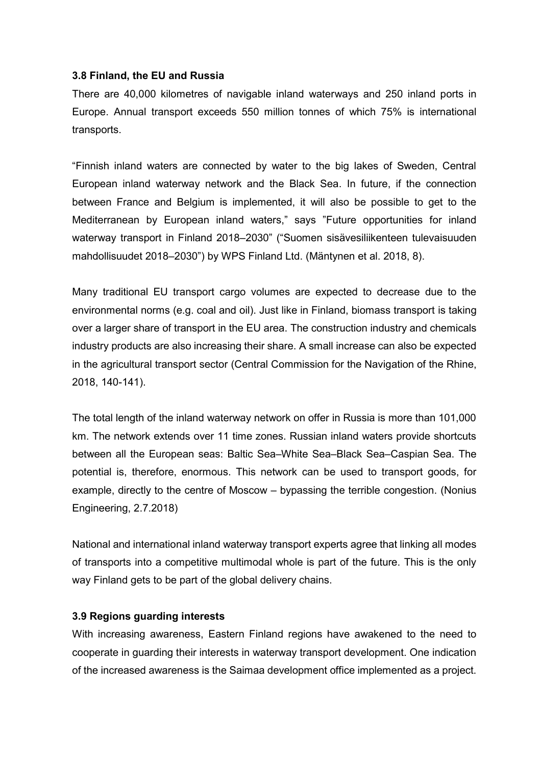#### **3.8 Finland, the EU and Russia**

There are 40,000 kilometres of navigable inland waterways and 250 inland ports in Europe. Annual transport exceeds 550 million tonnes of which 75% is international transports.

"Finnish inland waters are connected by water to the big lakes of Sweden, Central European inland waterway network and the Black Sea. In future, if the connection between France and Belgium is implemented, it will also be possible to get to the Mediterranean by European inland waters," says "Future opportunities for inland waterway transport in Finland 2018–2030" ("Suomen sisävesiliikenteen tulevaisuuden mahdollisuudet 2018–2030") by WPS Finland Ltd. (Mäntynen et al. 2018, 8).

Many traditional EU transport cargo volumes are expected to decrease due to the environmental norms (e.g. coal and oil). Just like in Finland, biomass transport is taking over a larger share of transport in the EU area. The construction industry and chemicals industry products are also increasing their share. A small increase can also be expected in the agricultural transport sector (Central Commission for the Navigation of the Rhine, 2018, 140-141).

The total length of the inland waterway network on offer in Russia is more than 101,000 km. The network extends over 11 time zones. Russian inland waters provide shortcuts between all the European seas: Baltic Sea–White Sea–Black Sea–Caspian Sea. The potential is, therefore, enormous. This network can be used to transport goods, for example, directly to the centre of Moscow – bypassing the terrible congestion. (Nonius Engineering, 2.7.2018)

National and international inland waterway transport experts agree that linking all modes of transports into a competitive multimodal whole is part of the future. This is the only way Finland gets to be part of the global delivery chains.

## **3.9 Regions guarding interests**

With increasing awareness, Eastern Finland regions have awakened to the need to cooperate in guarding their interests in waterway transport development. One indication of the increased awareness is the Saimaa development office implemented as a project.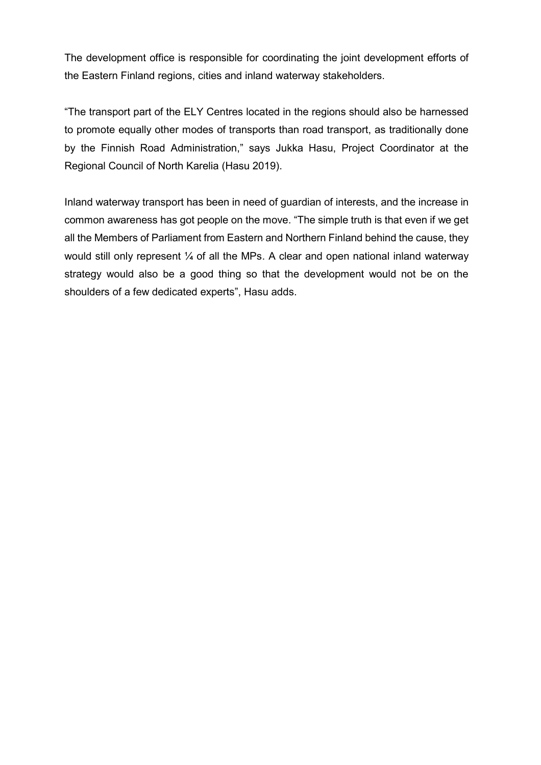The development office is responsible for coordinating the joint development efforts of the Eastern Finland regions, cities and inland waterway stakeholders.

"The transport part of the ELY Centres located in the regions should also be harnessed to promote equally other modes of transports than road transport, as traditionally done by the Finnish Road Administration," says Jukka Hasu, Project Coordinator at the Regional Council of North Karelia (Hasu 2019).

Inland waterway transport has been in need of guardian of interests, and the increase in common awareness has got people on the move. "The simple truth is that even if we get all the Members of Parliament from Eastern and Northern Finland behind the cause, they would still only represent  $\frac{1}{4}$  of all the MPs. A clear and open national inland waterway strategy would also be a good thing so that the development would not be on the shoulders of a few dedicated experts", Hasu adds.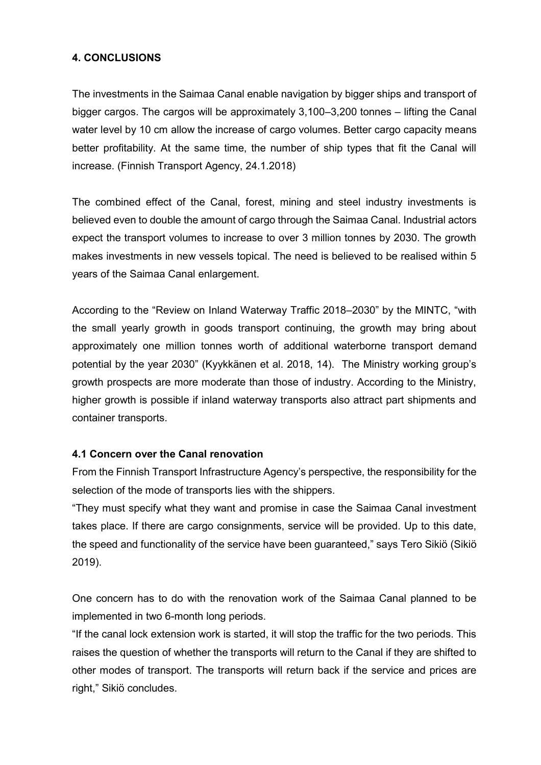## **4. CONCLUSIONS**

The investments in the Saimaa Canal enable navigation by bigger ships and transport of bigger cargos. The cargos will be approximately 3,100–3,200 tonnes – lifting the Canal water level by 10 cm allow the increase of cargo volumes. Better cargo capacity means better profitability. At the same time, the number of ship types that fit the Canal will increase. (Finnish Transport Agency, 24.1.2018)

The combined effect of the Canal, forest, mining and steel industry investments is believed even to double the amount of cargo through the Saimaa Canal. Industrial actors expect the transport volumes to increase to over 3 million tonnes by 2030. The growth makes investments in new vessels topical. The need is believed to be realised within 5 years of the Saimaa Canal enlargement.

According to the "Review on Inland Waterway Traffic 2018–2030" by the MINTC, "with the small yearly growth in goods transport continuing, the growth may bring about approximately one million tonnes worth of additional waterborne transport demand potential by the year 2030" (Kyykkänen et al. 2018, 14). The Ministry working group's growth prospects are more moderate than those of industry. According to the Ministry, higher growth is possible if inland waterway transports also attract part shipments and container transports.

## **4.1 Concern over the Canal renovation**

From the Finnish Transport Infrastructure Agency's perspective, the responsibility for the selection of the mode of transports lies with the shippers.

"They must specify what they want and promise in case the Saimaa Canal investment takes place. If there are cargo consignments, service will be provided. Up to this date, the speed and functionality of the service have been guaranteed," says Tero Sikiö (Sikiö 2019).

One concern has to do with the renovation work of the Saimaa Canal planned to be implemented in two 6-month long periods.

"If the canal lock extension work is started, it will stop the traffic for the two periods. This raises the question of whether the transports will return to the Canal if they are shifted to other modes of transport. The transports will return back if the service and prices are right," Sikiö concludes.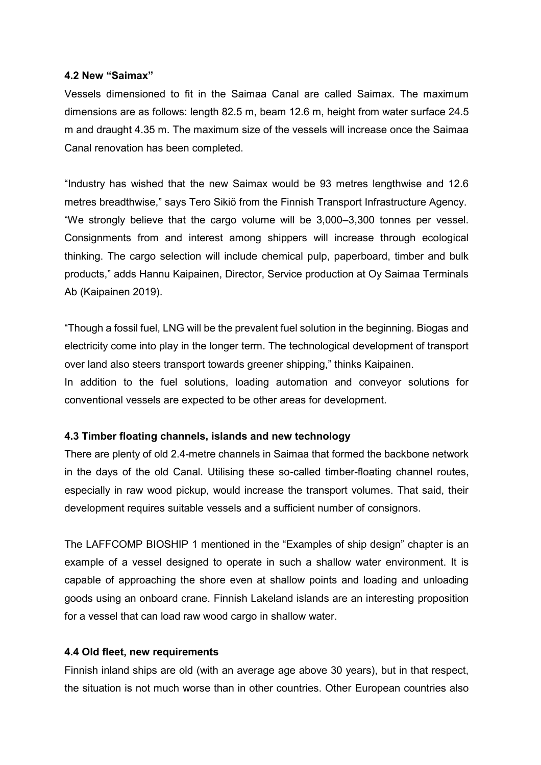#### **4.2 New "Saimax"**

Vessels dimensioned to fit in the Saimaa Canal are called Saimax. The maximum dimensions are as follows: length 82.5 m, beam 12.6 m, height from water surface 24.5 m and draught 4.35 m. The maximum size of the vessels will increase once the Saimaa Canal renovation has been completed.

"Industry has wished that the new Saimax would be 93 metres lengthwise and 12.6 metres breadthwise," says Tero Sikiö from the Finnish Transport Infrastructure Agency. "We strongly believe that the cargo volume will be 3,000–3,300 tonnes per vessel. Consignments from and interest among shippers will increase through ecological thinking. The cargo selection will include chemical pulp, paperboard, timber and bulk products," adds Hannu Kaipainen, Director, Service production at Oy Saimaa Terminals Ab (Kaipainen 2019).

"Though a fossil fuel, LNG will be the prevalent fuel solution in the beginning. Biogas and electricity come into play in the longer term. The technological development of transport over land also steers transport towards greener shipping," thinks Kaipainen. In addition to the fuel solutions, loading automation and conveyor solutions for conventional vessels are expected to be other areas for development.

#### **4.3 Timber floating channels, islands and new technology**

There are plenty of old 2.4-metre channels in Saimaa that formed the backbone network in the days of the old Canal. Utilising these so-called timber-floating channel routes, especially in raw wood pickup, would increase the transport volumes. That said, their development requires suitable vessels and a sufficient number of consignors.

The LAFFCOMP BIOSHIP 1 mentioned in the "Examples of ship design" chapter is an example of a vessel designed to operate in such a shallow water environment. It is capable of approaching the shore even at shallow points and loading and unloading goods using an onboard crane. Finnish Lakeland islands are an interesting proposition for a vessel that can load raw wood cargo in shallow water.

#### **4.4 Old fleet, new requirements**

Finnish inland ships are old (with an average age above 30 years), but in that respect, the situation is not much worse than in other countries. Other European countries also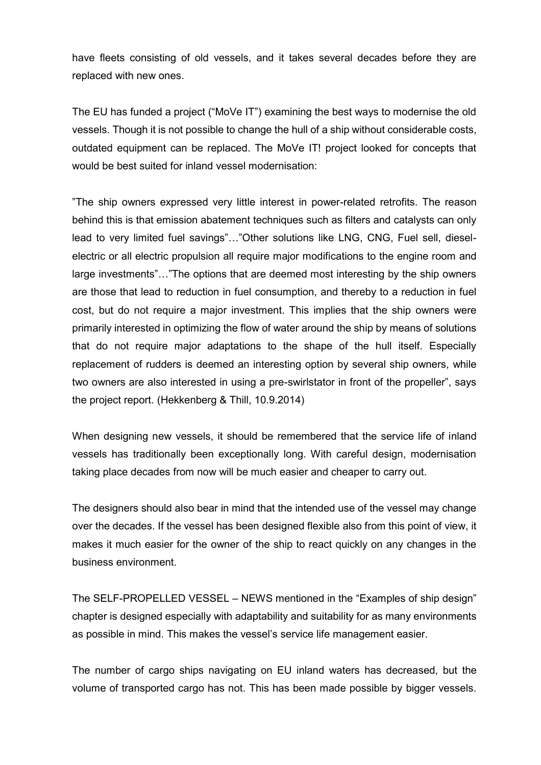have fleets consisting of old vessels, and it takes several decades before they are replaced with new ones.

The EU has funded a project ("MoVe IT") examining the best ways to modernise the old vessels. Though it is not possible to change the hull of a ship without considerable costs, outdated equipment can be replaced. The MoVe IT! project looked for concepts that would be best suited for inland vessel modernisation:

"The ship owners expressed very little interest in power-related retrofits. The reason behind this is that emission abatement techniques such as filters and catalysts can only lead to very limited fuel savings"…"Other solutions like LNG, CNG, Fuel sell, dieselelectric or all electric propulsion all require major modifications to the engine room and large investments"…"The options that are deemed most interesting by the ship owners are those that lead to reduction in fuel consumption, and thereby to a reduction in fuel cost, but do not require a major investment. This implies that the ship owners were primarily interested in optimizing the flow of water around the ship by means of solutions that do not require major adaptations to the shape of the hull itself. Especially replacement of rudders is deemed an interesting option by several ship owners, while two owners are also interested in using a pre-swirlstator in front of the propeller", says the project report. (Hekkenberg & Thill, 10.9.2014)

When designing new vessels, it should be remembered that the service life of inland vessels has traditionally been exceptionally long. With careful design, modernisation taking place decades from now will be much easier and cheaper to carry out.

The designers should also bear in mind that the intended use of the vessel may change over the decades. If the vessel has been designed flexible also from this point of view, it makes it much easier for the owner of the ship to react quickly on any changes in the business environment.

The SELF-PROPELLED VESSEL – NEWS mentioned in the "Examples of ship design" chapter is designed especially with adaptability and suitability for as many environments as possible in mind. This makes the vessel's service life management easier.

The number of cargo ships navigating on EU inland waters has decreased, but the volume of transported cargo has not. This has been made possible by bigger vessels.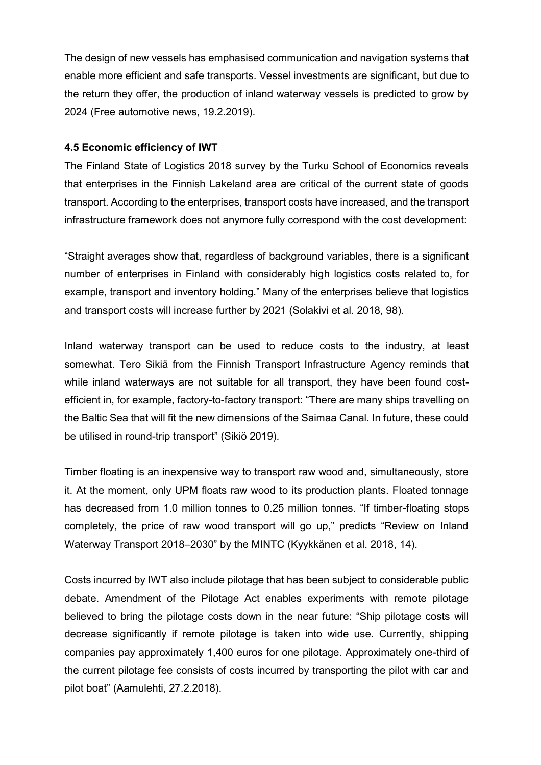The design of new vessels has emphasised communication and navigation systems that enable more efficient and safe transports. Vessel investments are significant, but due to the return they offer, the production of inland waterway vessels is predicted to grow by 2024 (Free automotive news, 19.2.2019).

## **4.5 Economic efficiency of IWT**

The Finland State of Logistics 2018 survey by the Turku School of Economics reveals that enterprises in the Finnish Lakeland area are critical of the current state of goods transport. According to the enterprises, transport costs have increased, and the transport infrastructure framework does not anymore fully correspond with the cost development:

"Straight averages show that, regardless of background variables, there is a significant number of enterprises in Finland with considerably high logistics costs related to, for example, transport and inventory holding." Many of the enterprises believe that logistics and transport costs will increase further by 2021 (Solakivi et al. 2018, 98).

Inland waterway transport can be used to reduce costs to the industry, at least somewhat. Tero Sikiä from the Finnish Transport Infrastructure Agency reminds that while inland waterways are not suitable for all transport, they have been found costefficient in, for example, factory-to-factory transport: "There are many ships travelling on the Baltic Sea that will fit the new dimensions of the Saimaa Canal. In future, these could be utilised in round-trip transport" (Sikiö 2019).

Timber floating is an inexpensive way to transport raw wood and, simultaneously, store it. At the moment, only UPM floats raw wood to its production plants. Floated tonnage has decreased from 1.0 million tonnes to 0.25 million tonnes. "If timber-floating stops completely, the price of raw wood transport will go up," predicts "Review on Inland Waterway Transport 2018–2030" by the MINTC (Kyykkänen et al. 2018, 14).

Costs incurred by IWT also include pilotage that has been subject to considerable public debate. Amendment of the Pilotage Act enables experiments with remote pilotage believed to bring the pilotage costs down in the near future: "Ship pilotage costs will decrease significantly if remote pilotage is taken into wide use. Currently, shipping companies pay approximately 1,400 euros for one pilotage. Approximately one-third of the current pilotage fee consists of costs incurred by transporting the pilot with car and pilot boat" (Aamulehti, 27.2.2018).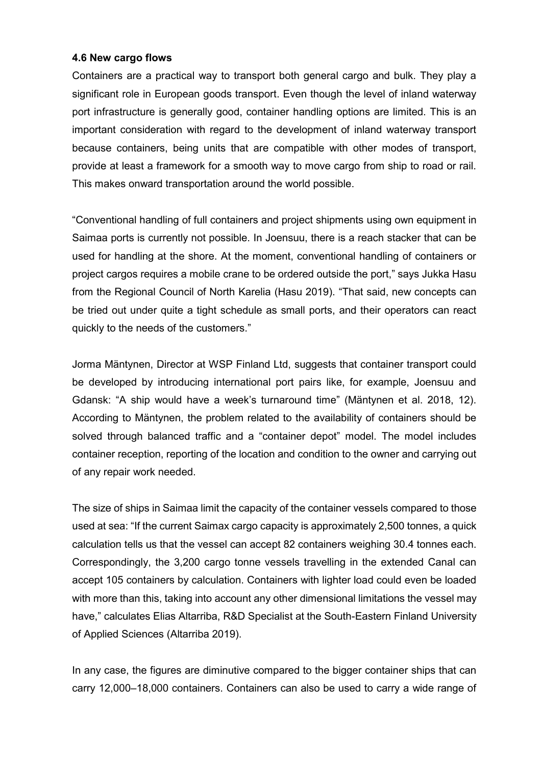#### **4.6 New cargo flows**

Containers are a practical way to transport both general cargo and bulk. They play a significant role in European goods transport. Even though the level of inland waterway port infrastructure is generally good, container handling options are limited. This is an important consideration with regard to the development of inland waterway transport because containers, being units that are compatible with other modes of transport, provide at least a framework for a smooth way to move cargo from ship to road or rail. This makes onward transportation around the world possible.

"Conventional handling of full containers and project shipments using own equipment in Saimaa ports is currently not possible. In Joensuu, there is a reach stacker that can be used for handling at the shore. At the moment, conventional handling of containers or project cargos requires a mobile crane to be ordered outside the port," says Jukka Hasu from the Regional Council of North Karelia (Hasu 2019). "That said, new concepts can be tried out under quite a tight schedule as small ports, and their operators can react quickly to the needs of the customers."

Jorma Mäntynen, Director at WSP Finland Ltd, suggests that container transport could be developed by introducing international port pairs like, for example, Joensuu and Gdansk: "A ship would have a week's turnaround time" (Mäntynen et al. 2018, 12). According to Mäntynen, the problem related to the availability of containers should be solved through balanced traffic and a "container depot" model. The model includes container reception, reporting of the location and condition to the owner and carrying out of any repair work needed.

The size of ships in Saimaa limit the capacity of the container vessels compared to those used at sea: "If the current Saimax cargo capacity is approximately 2,500 tonnes, a quick calculation tells us that the vessel can accept 82 containers weighing 30.4 tonnes each. Correspondingly, the 3,200 cargo tonne vessels travelling in the extended Canal can accept 105 containers by calculation. Containers with lighter load could even be loaded with more than this, taking into account any other dimensional limitations the vessel may have," calculates Elias Altarriba, R&D Specialist at the South-Eastern Finland University of Applied Sciences (Altarriba 2019).

In any case, the figures are diminutive compared to the bigger container ships that can carry 12,000–18,000 containers. Containers can also be used to carry a wide range of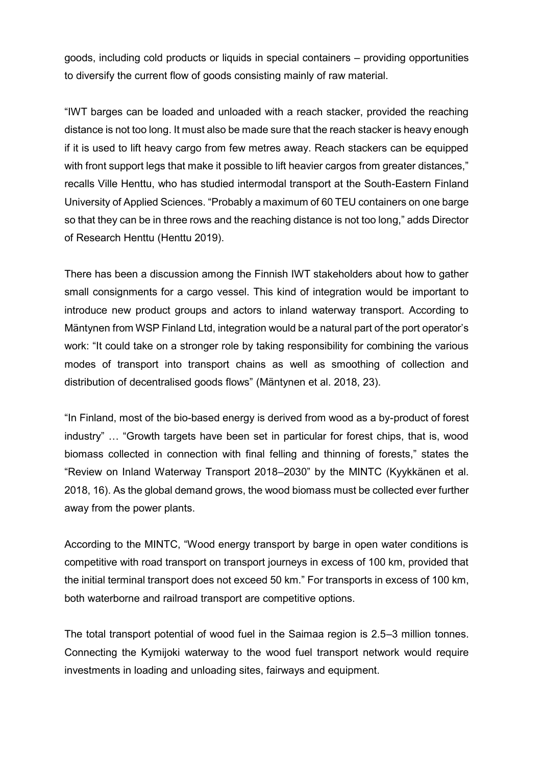goods, including cold products or liquids in special containers – providing opportunities to diversify the current flow of goods consisting mainly of raw material.

"IWT barges can be loaded and unloaded with a reach stacker, provided the reaching distance is not too long. It must also be made sure that the reach stacker is heavy enough if it is used to lift heavy cargo from few metres away. Reach stackers can be equipped with front support legs that make it possible to lift heavier cargos from greater distances," recalls Ville Henttu, who has studied intermodal transport at the South-Eastern Finland University of Applied Sciences. "Probably a maximum of 60 TEU containers on one barge so that they can be in three rows and the reaching distance is not too long," adds Director of Research Henttu (Henttu 2019).

There has been a discussion among the Finnish IWT stakeholders about how to gather small consignments for a cargo vessel. This kind of integration would be important to introduce new product groups and actors to inland waterway transport. According to Mäntynen from WSP Finland Ltd, integration would be a natural part of the port operator's work: "It could take on a stronger role by taking responsibility for combining the various modes of transport into transport chains as well as smoothing of collection and distribution of decentralised goods flows" (Mäntynen et al. 2018, 23).

"In Finland, most of the bio-based energy is derived from wood as a by-product of forest industry" … "Growth targets have been set in particular for forest chips, that is, wood biomass collected in connection with final felling and thinning of forests," states the "Review on Inland Waterway Transport 2018–2030" by the MINTC (Kyykkänen et al. 2018, 16). As the global demand grows, the wood biomass must be collected ever further away from the power plants.

According to the MINTC, "Wood energy transport by barge in open water conditions is competitive with road transport on transport journeys in excess of 100 km, provided that the initial terminal transport does not exceed 50 km." For transports in excess of 100 km, both waterborne and railroad transport are competitive options.

The total transport potential of wood fuel in the Saimaa region is 2.5–3 million tonnes. Connecting the Kymijoki waterway to the wood fuel transport network would require investments in loading and unloading sites, fairways and equipment.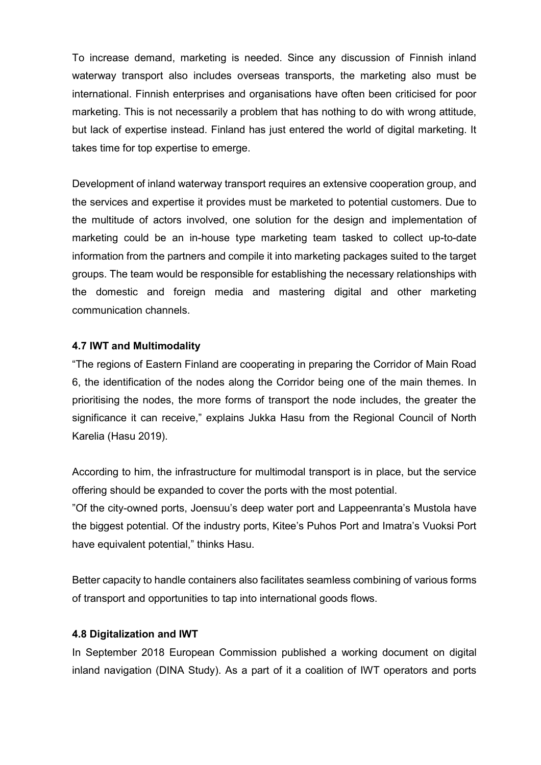To increase demand, marketing is needed. Since any discussion of Finnish inland waterway transport also includes overseas transports, the marketing also must be international. Finnish enterprises and organisations have often been criticised for poor marketing. This is not necessarily a problem that has nothing to do with wrong attitude, but lack of expertise instead. Finland has just entered the world of digital marketing. It takes time for top expertise to emerge.

Development of inland waterway transport requires an extensive cooperation group, and the services and expertise it provides must be marketed to potential customers. Due to the multitude of actors involved, one solution for the design and implementation of marketing could be an in-house type marketing team tasked to collect up-to-date information from the partners and compile it into marketing packages suited to the target groups. The team would be responsible for establishing the necessary relationships with the domestic and foreign media and mastering digital and other marketing communication channels.

#### **4.7 IWT and Multimodality**

"The regions of Eastern Finland are cooperating in preparing the Corridor of Main Road 6, the identification of the nodes along the Corridor being one of the main themes. In prioritising the nodes, the more forms of transport the node includes, the greater the significance it can receive," explains Jukka Hasu from the Regional Council of North Karelia (Hasu 2019).

According to him, the infrastructure for multimodal transport is in place, but the service offering should be expanded to cover the ports with the most potential.

"Of the city-owned ports, Joensuu's deep water port and Lappeenranta's Mustola have the biggest potential. Of the industry ports, Kitee's Puhos Port and Imatra's Vuoksi Port have equivalent potential," thinks Hasu.

Better capacity to handle containers also facilitates seamless combining of various forms of transport and opportunities to tap into international goods flows.

#### **4.8 Digitalization and IWT**

In September 2018 European Commission published a working document on digital inland navigation (DINA Study). As a part of it a coalition of IWT operators and ports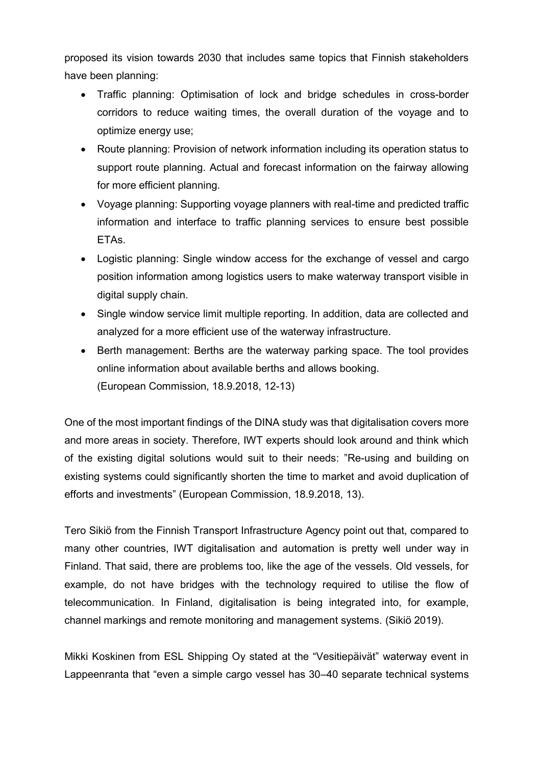proposed its vision towards 2030 that includes same topics that Finnish stakeholders have been planning:

- Traffic planning: Optimisation of lock and bridge schedules in cross-border corridors to reduce waiting times, the overall duration of the voyage and to optimize energy use;
- Route planning: Provision of network information including its operation status to support route planning. Actual and forecast information on the fairway allowing for more efficient planning.
- Voyage planning: Supporting voyage planners with real-time and predicted traffic information and interface to traffic planning services to ensure best possible ETAs.
- Logistic planning: Single window access for the exchange of vessel and cargo position information among logistics users to make waterway transport visible in digital supply chain.
- Single window service limit multiple reporting. In addition, data are collected and analyzed for a more efficient use of the waterway infrastructure.
- Berth management: Berths are the waterway parking space. The tool provides online information about available berths and allows booking. (European Commission, 18.9.2018, 12-13)

One of the most important findings of the DINA study was that digitalisation covers more and more areas in society. Therefore, IWT experts should look around and think which of the existing digital solutions would suit to their needs: "Re-using and building on existing systems could significantly shorten the time to market and avoid duplication of efforts and investments" (European Commission, 18.9.2018, 13).

Tero Sikiö from the Finnish Transport Infrastructure Agency point out that, compared to many other countries, IWT digitalisation and automation is pretty well under way in Finland. That said, there are problems too, like the age of the vessels. Old vessels, for example, do not have bridges with the technology required to utilise the flow of telecommunication. In Finland, digitalisation is being integrated into, for example, channel markings and remote monitoring and management systems. (Sikiö 2019).

Mikki Koskinen from ESL Shipping Oy stated at the "Vesitiepäivät" waterway event in Lappeenranta that "even a simple cargo vessel has 30–40 separate technical systems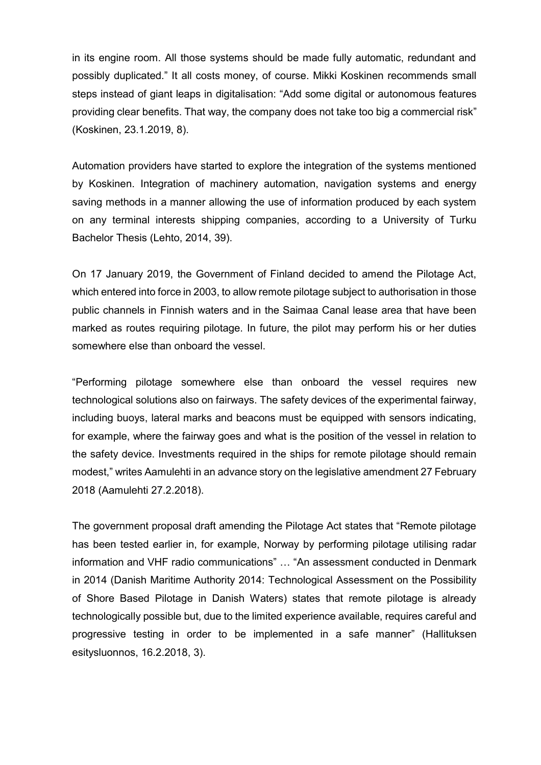in its engine room. All those systems should be made fully automatic, redundant and possibly duplicated." It all costs money, of course. Mikki Koskinen recommends small steps instead of giant leaps in digitalisation: "Add some digital or autonomous features providing clear benefits. That way, the company does not take too big a commercial risk" (Koskinen, 23.1.2019, 8).

Automation providers have started to explore the integration of the systems mentioned by Koskinen. Integration of machinery automation, navigation systems and energy saving methods in a manner allowing the use of information produced by each system on any terminal interests shipping companies, according to a University of Turku Bachelor Thesis (Lehto, 2014, 39).

On 17 January 2019, the Government of Finland decided to amend the Pilotage Act, which entered into force in 2003, to allow remote pilotage subject to authorisation in those public channels in Finnish waters and in the Saimaa Canal lease area that have been marked as routes requiring pilotage. In future, the pilot may perform his or her duties somewhere else than onboard the vessel.

"Performing pilotage somewhere else than onboard the vessel requires new technological solutions also on fairways. The safety devices of the experimental fairway, including buoys, lateral marks and beacons must be equipped with sensors indicating, for example, where the fairway goes and what is the position of the vessel in relation to the safety device. Investments required in the ships for remote pilotage should remain modest," writes Aamulehti in an advance story on the legislative amendment 27 February 2018 (Aamulehti 27.2.2018).

The government proposal draft amending the Pilotage Act states that "Remote pilotage has been tested earlier in, for example, Norway by performing pilotage utilising radar information and VHF radio communications" … "An assessment conducted in Denmark in 2014 (Danish Maritime Authority 2014: Technological Assessment on the Possibility of Shore Based Pilotage in Danish Waters) states that remote pilotage is already technologically possible but, due to the limited experience available, requires careful and progressive testing in order to be implemented in a safe manner" (Hallituksen esitysluonnos, 16.2.2018, 3).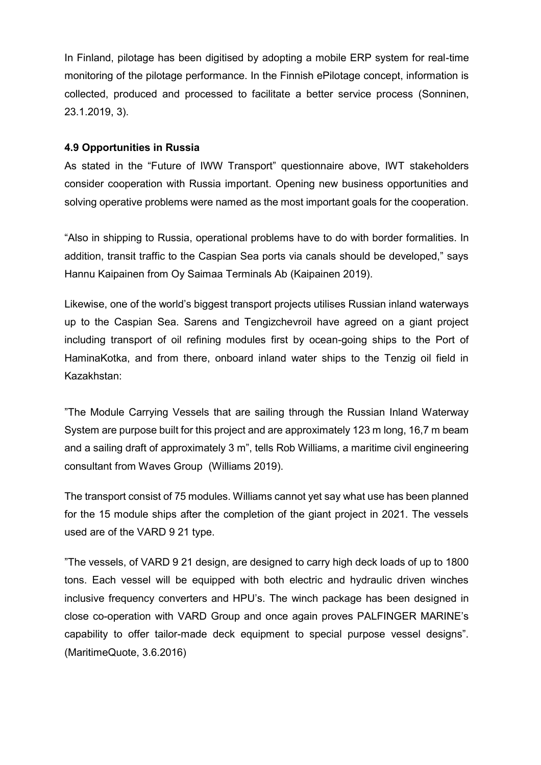In Finland, pilotage has been digitised by adopting a mobile ERP system for real-time monitoring of the pilotage performance. In the Finnish ePilotage concept, information is collected, produced and processed to facilitate a better service process (Sonninen, 23.1.2019, 3).

#### **4.9 Opportunities in Russia**

As stated in the "Future of IWW Transport" questionnaire above, IWT stakeholders consider cooperation with Russia important. Opening new business opportunities and solving operative problems were named as the most important goals for the cooperation.

"Also in shipping to Russia, operational problems have to do with border formalities. In addition, transit traffic to the Caspian Sea ports via canals should be developed," says Hannu Kaipainen from Oy Saimaa Terminals Ab (Kaipainen 2019).

Likewise, one of the world's biggest transport projects utilises Russian inland waterways up to the Caspian Sea. Sarens and Tengizchevroil have agreed on a giant project including transport of oil refining modules first by ocean-going ships to the Port of HaminaKotka, and from there, onboard inland water ships to the Tenzig oil field in Kazakhstan:

"The Module Carrying Vessels that are sailing through the Russian Inland Waterway System are purpose built for this project and are approximately 123 m long, 16,7 m beam and a sailing draft of approximately 3 m", tells Rob Williams, a maritime civil engineering consultant from Waves Group (Williams 2019).

The transport consist of 75 modules. Williams cannot yet say what use has been planned for the 15 module ships after the completion of the giant project in 2021. The vessels used are of the VARD 9 21 type.

"The vessels, of VARD 9 21 design, are designed to carry high deck loads of up to 1800 tons. Each vessel will be equipped with both electric and hydraulic driven winches inclusive frequency converters and HPU's. The winch package has been designed in close co-operation with VARD Group and once again proves PALFINGER MARINE's capability to offer tailor-made deck equipment to special purpose vessel designs". (MaritimeQuote, 3.6.2016)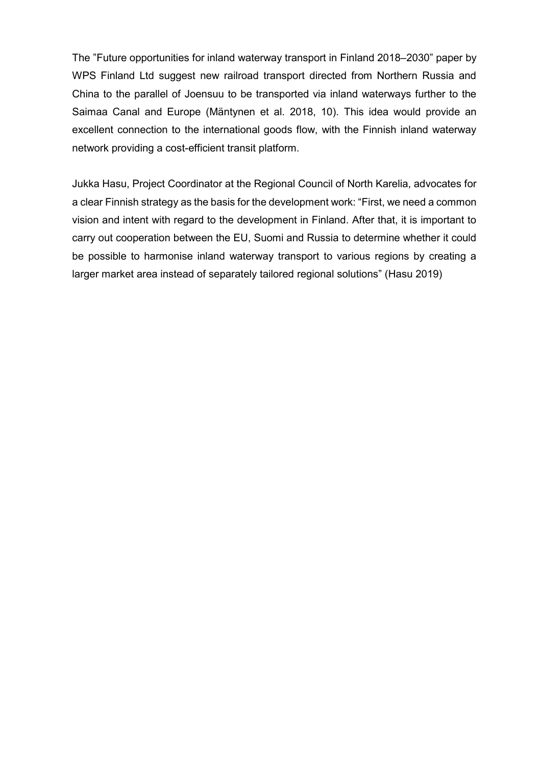The "Future opportunities for inland waterway transport in Finland 2018–2030" paper by WPS Finland Ltd suggest new railroad transport directed from Northern Russia and China to the parallel of Joensuu to be transported via inland waterways further to the Saimaa Canal and Europe (Mäntynen et al. 2018, 10). This idea would provide an excellent connection to the international goods flow, with the Finnish inland waterway network providing a cost-efficient transit platform.

Jukka Hasu, Project Coordinator at the Regional Council of North Karelia, advocates for a clear Finnish strategy as the basis for the development work: "First, we need a common vision and intent with regard to the development in Finland. After that, it is important to carry out cooperation between the EU, Suomi and Russia to determine whether it could be possible to harmonise inland waterway transport to various regions by creating a larger market area instead of separately tailored regional solutions" (Hasu 2019)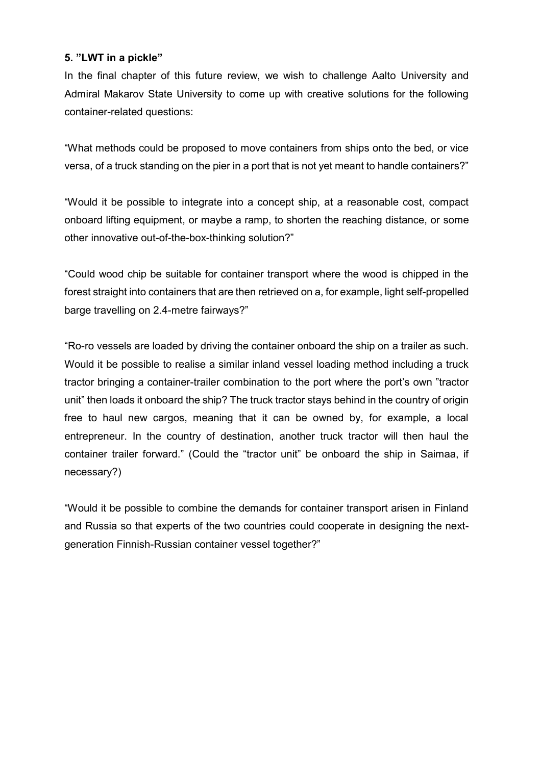## **5. "LWT in a pickle"**

In the final chapter of this future review, we wish to challenge Aalto University and Admiral Makarov State University to come up with creative solutions for the following container-related questions:

"What methods could be proposed to move containers from ships onto the bed, or vice versa, of a truck standing on the pier in a port that is not yet meant to handle containers?"

"Would it be possible to integrate into a concept ship, at a reasonable cost, compact onboard lifting equipment, or maybe a ramp, to shorten the reaching distance, or some other innovative out-of-the-box-thinking solution?"

"Could wood chip be suitable for container transport where the wood is chipped in the forest straight into containers that are then retrieved on a, for example, light self-propelled barge travelling on 2.4-metre fairways?"

"Ro-ro vessels are loaded by driving the container onboard the ship on a trailer as such. Would it be possible to realise a similar inland vessel loading method including a truck tractor bringing a container-trailer combination to the port where the port's own "tractor unit" then loads it onboard the ship? The truck tractor stays behind in the country of origin free to haul new cargos, meaning that it can be owned by, for example, a local entrepreneur. In the country of destination, another truck tractor will then haul the container trailer forward." (Could the "tractor unit" be onboard the ship in Saimaa, if necessary?)

"Would it be possible to combine the demands for container transport arisen in Finland and Russia so that experts of the two countries could cooperate in designing the nextgeneration Finnish-Russian container vessel together?"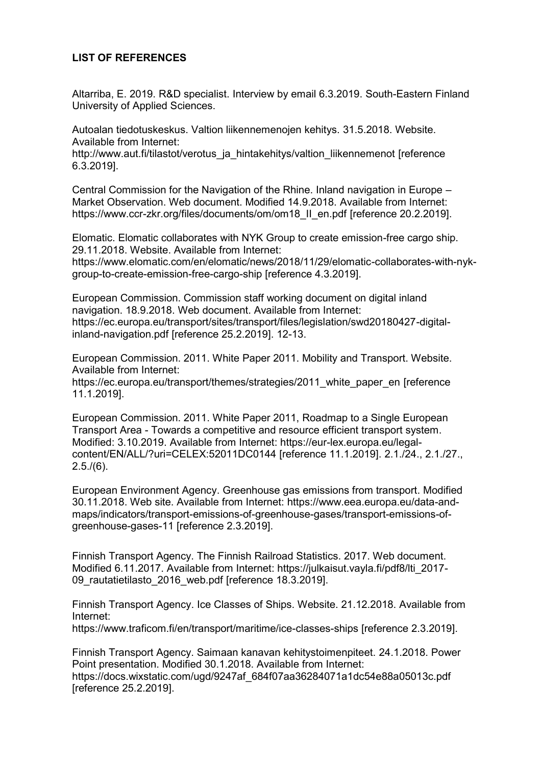## **LIST OF REFERENCES**

Altarriba, E. 2019. R&D specialist. Interview by email 6.3.2019. South-Eastern Finland University of Applied Sciences.

Autoalan tiedotuskeskus. Valtion liikennemenojen kehitys. 31.5.2018. Website. Available from Internet:

http://www.aut.fi/tilastot/verotus\_ja\_hintakehitys/valtion\_liikennemenot [reference 6.3.2019].

Central Commission for the Navigation of the Rhine. Inland navigation in Europe – Market Observation. Web document. Modified 14.9.2018. Available from Internet: https://www.ccr-zkr.org/files/documents/om/om18\_II\_en.pdf [reference 20.2.2019].

Elomatic. Elomatic collaborates with NYK Group to create emission-free cargo ship. 29.11.2018. Website. Available from Internet:

https://www.elomatic.com/en/elomatic/news/2018/11/29/elomatic-collaborates-with-nykgroup-to-create-emission-free-cargo-ship [reference 4.3.2019].

European Commission. Commission staff working document on digital inland navigation. 18.9.2018. Web document. Available from Internet: https://ec.europa.eu/transport/sites/transport/files/legislation/swd20180427-digitalinland-navigation.pdf [reference 25.2.2019]. 12-13.

European Commission. 2011. White Paper 2011. Mobility and Transport. Website. Available from Internet:

https://ec.europa.eu/transport/themes/strategies/2011\_white\_paper\_en [reference 11.1.2019].

European Commission. 2011. White Paper 2011, Roadmap to a Single European Transport Area - Towards a competitive and resource efficient transport system. Modified: 3.10.2019. Available from Internet: https://eur-lex.europa.eu/legalcontent/EN/ALL/?uri=CELEX:52011DC0144 [reference 11.1.2019]. 2.1./24., 2.1./27.,  $2.5/(6)$ .

European Environment Agency. Greenhouse gas emissions from transport. Modified 30.11.2018. Web site. Available from Internet: https://www.eea.europa.eu/data-andmaps/indicators/transport-emissions-of-greenhouse-gases/transport-emissions-ofgreenhouse-gases-11 [reference 2.3.2019].

Finnish Transport Agency. The Finnish Railroad Statistics. 2017. Web document. Modified 6.11.2017. Available from Internet: https://julkaisut.vayla.fi/pdf8/lti\_2017- 09\_rautatietilasto\_2016\_web.pdf [reference 18.3.2019].

Finnish Transport Agency. Ice Classes of Ships. Website. 21.12.2018. Available from Internet:

https://www.traficom.fi/en/transport/maritime/ice-classes-ships [reference 2.3.2019].

Finnish Transport Agency. Saimaan kanavan kehitystoimenpiteet. 24.1.2018. Power Point presentation. Modified 30.1.2018. Available from Internet: https://docs.wixstatic.com/ugd/9247af\_684f07aa36284071a1dc54e88a05013c.pdf [reference 25.2.2019].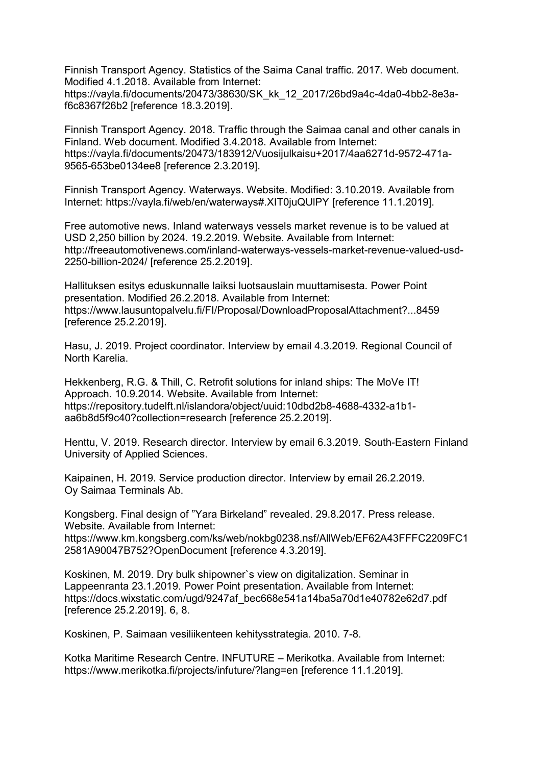Finnish Transport Agency. Statistics of the Saima Canal traffic. 2017. Web document. Modified 4.1.2018. Available from Internet: https://vayla.fi/documents/20473/38630/SK\_kk\_12\_2017/26bd9a4c-4da0-4bb2-8e3af6c8367f26b2 [reference 18.3.2019].

Finnish Transport Agency. 2018. Traffic through the Saimaa canal and other canals in Finland. Web document. Modified 3.4.2018. Available from Internet: https://vayla.fi/documents/20473/183912/Vuosijulkaisu+2017/4aa6271d-9572-471a-9565-653be0134ee8 [reference 2.3.2019].

Finnish Transport Agency. Waterways. Website. Modified: 3.10.2019. Available from Internet: https://vayla.fi/web/en/waterways#.XIT0juQUlPY [reference 11.1.2019].

Free automotive news. Inland waterways vessels market revenue is to be valued at USD 2,250 billion by 2024. 19.2.2019. Website. Available from Internet: http://freeautomotivenews.com/inland-waterways-vessels-market-revenue-valued-usd-2250-billion-2024/ [reference 25.2.2019].

Hallituksen esitys eduskunnalle laiksi luotsauslain muuttamisesta. Power Point presentation. Modified 26.2.2018. Available from Internet: https://www.lausuntopalvelu.fi/FI/Proposal/DownloadProposalAttachment?...8459 [reference 25.2.2019].

Hasu, J. 2019. Project coordinator. Interview by email 4.3.2019. Regional Council of North Karelia.

Hekkenberg, R.G. & Thill, C. Retrofit solutions for inland ships: The MoVe IT! Approach. 10.9.2014. Website. Available from Internet: https://repository.tudelft.nl/islandora/object/uuid:10dbd2b8-4688-4332-a1b1 aa6b8d5f9c40?collection=research [reference 25.2.2019].

Henttu, V. 2019. Research director. Interview by email 6.3.2019. South-Eastern Finland University of Applied Sciences.

Kaipainen, H. 2019. Service production director. Interview by email 26.2.2019. Oy Saimaa Terminals Ab.

Kongsberg. Final design of "Yara Birkeland" revealed. 29.8.2017. Press release. Website. Available from Internet:

https://www.km.kongsberg.com/ks/web/nokbg0238.nsf/AllWeb/EF62A43FFFC2209FC1 2581A90047B752?OpenDocument [reference 4.3.2019].

Koskinen, M. 2019. Dry bulk shipowner`s view on digitalization. Seminar in Lappeenranta 23.1.2019. Power Point presentation. Available from Internet: https://docs.wixstatic.com/ugd/9247af\_bec668e541a14ba5a70d1e40782e62d7.pdf [reference 25.2.2019]. 6, 8.

Koskinen, P. Saimaan vesiliikenteen kehitysstrategia. 2010. 7-8.

Kotka Maritime Research Centre. INFUTURE – Merikotka. Available from Internet: https://www.merikotka.fi/projects/infuture/?lang=en [reference 11.1.2019].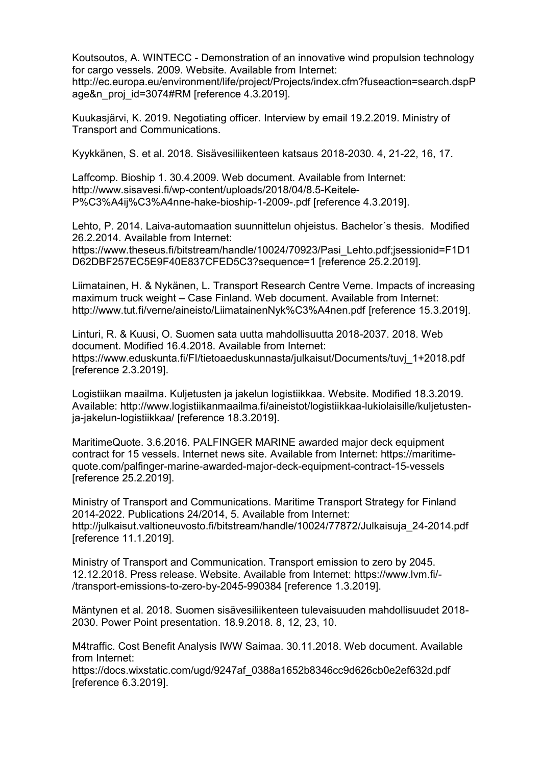Koutsoutos, A. WINTECC - Demonstration of an innovative wind propulsion technology for cargo vessels. 2009. Website. Available from Internet: http://ec.europa.eu/environment/life/project/Projects/index.cfm?fuseaction=search.dspP age&n\_proj\_id=3074#RM [reference 4.3.2019].

Kuukasjärvi, K. 2019. Negotiating officer. Interview by email 19.2.2019. Ministry of Transport and Communications.

Kyykkänen, S. et al. 2018. Sisävesiliikenteen katsaus 2018-2030. 4, 21-22, 16, 17.

Laffcomp. Bioship 1. 30.4.2009. Web document. Available from Internet: http://www.sisavesi.fi/wp-content/uploads/2018/04/8.5-Keitele-P%C3%A4ij%C3%A4nne-hake-bioship-1-2009-.pdf [reference 4.3.2019].

Lehto, P. 2014. Laiva-automaation suunnittelun ohjeistus. Bachelor´s thesis. Modified 26.2.2014. Available from Internet:

https://www.theseus.fi/bitstream/handle/10024/70923/Pasi\_Lehto.pdf:jsessionid=F1D1 D62DBF257EC5E9F40E837CFED5C3?sequence=1 [reference 25.2.2019].

Liimatainen, H. & Nykänen, L. Transport Research Centre Verne. Impacts of increasing maximum truck weight – Case Finland. Web document. Available from Internet: http://www.tut.fi/verne/aineisto/LiimatainenNyk%C3%A4nen.pdf [reference 15.3.2019].

Linturi, R. & Kuusi, O. Suomen sata uutta mahdollisuutta 2018-2037. 2018. Web document. Modified 16.4.2018. Available from Internet: https://www.eduskunta.fi/FI/tietoaeduskunnasta/julkaisut/Documents/tuvj\_1+2018.pdf [reference 2.3.2019].

Logistiikan maailma. Kuljetusten ja jakelun logistiikkaa. Website. Modified 18.3.2019. Available: http://www.logistiikanmaailma.fi/aineistot/logistiikkaa-lukiolaisille/kuljetustenja-jakelun-logistiikkaa/ [reference 18.3.2019].

MaritimeQuote. 3.6.2016. PALFINGER MARINE awarded major deck equipment contract for 15 vessels. Internet news site. Available from Internet: https://maritimequote.com/palfinger-marine-awarded-major-deck-equipment-contract-15-vessels [reference 25.2.2019].

Ministry of Transport and Communications. Maritime Transport Strategy for Finland 2014-2022. Publications 24/2014, 5. Available from Internet: http://julkaisut.valtioneuvosto.fi/bitstream/handle/10024/77872/Julkaisuja\_24-2014.pdf [reference 11.1.2019].

Ministry of Transport and Communication. Transport emission to zero by 2045. 12.12.2018. Press release. Website. Available from Internet: https://www.lvm.fi/- /transport-emissions-to-zero-by-2045-990384 [reference 1.3.2019].

Mäntynen et al. 2018. Suomen sisävesiliikenteen tulevaisuuden mahdollisuudet 2018- 2030. Power Point presentation. 18.9.2018. 8, 12, 23, 10.

M4traffic. Cost Benefit Analysis IWW Saimaa. 30.11.2018. Web document. Available from Internet:

https://docs.wixstatic.com/ugd/9247af\_0388a1652b8346cc9d626cb0e2ef632d.pdf [reference 6.3.2019].